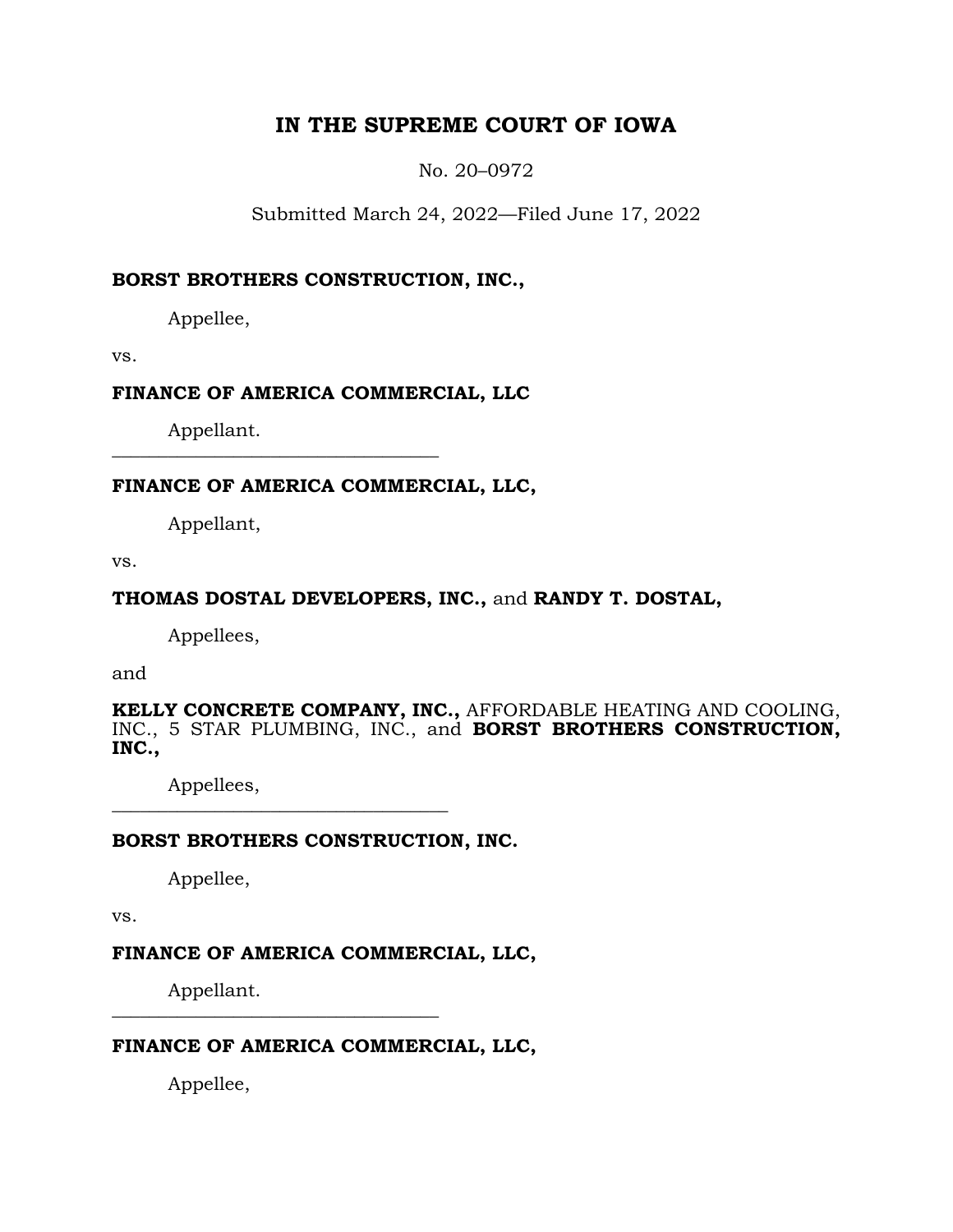## **IN THE SUPREME COURT OF IOWA**

No. 20–0972

Submitted March 24, 2022—Filed June 17, 2022

## **BORST BROTHERS CONSTRUCTION, INC.,**

Appellee,

vs.

## **FINANCE OF AMERICA COMMERCIAL, LLC**

Appellant. **\_\_\_\_\_\_\_\_\_\_\_\_\_\_\_\_\_\_\_\_\_\_\_\_\_\_\_\_\_\_\_\_\_\_\_**

## **FINANCE OF AMERICA COMMERCIAL, LLC,**

Appellant,

vs.

## **THOMAS DOSTAL DEVELOPERS, INC.,** and **RANDY T. DOSTAL,**

Appellees,

and

**KELLY CONCRETE COMPANY, INC.,** AFFORDABLE HEATING AND COOLING, INC., 5 STAR PLUMBING, INC., and **BORST BROTHERS CONSTRUCTION, INC.,**

Appellees,

## **BORST BROTHERS CONSTRUCTION, INC.**

**\_\_\_\_\_\_\_\_\_\_\_\_\_\_\_\_\_\_\_\_\_\_\_\_\_\_\_\_\_\_\_\_\_\_\_\_**

Appellee,

vs.

## **FINANCE OF AMERICA COMMERCIAL, LLC,**

Appellant. **\_\_\_\_\_\_\_\_\_\_\_\_\_\_\_\_\_\_\_\_\_\_\_\_\_\_\_\_\_\_\_\_\_\_\_**

## **FINANCE OF AMERICA COMMERCIAL, LLC,**

Appellee,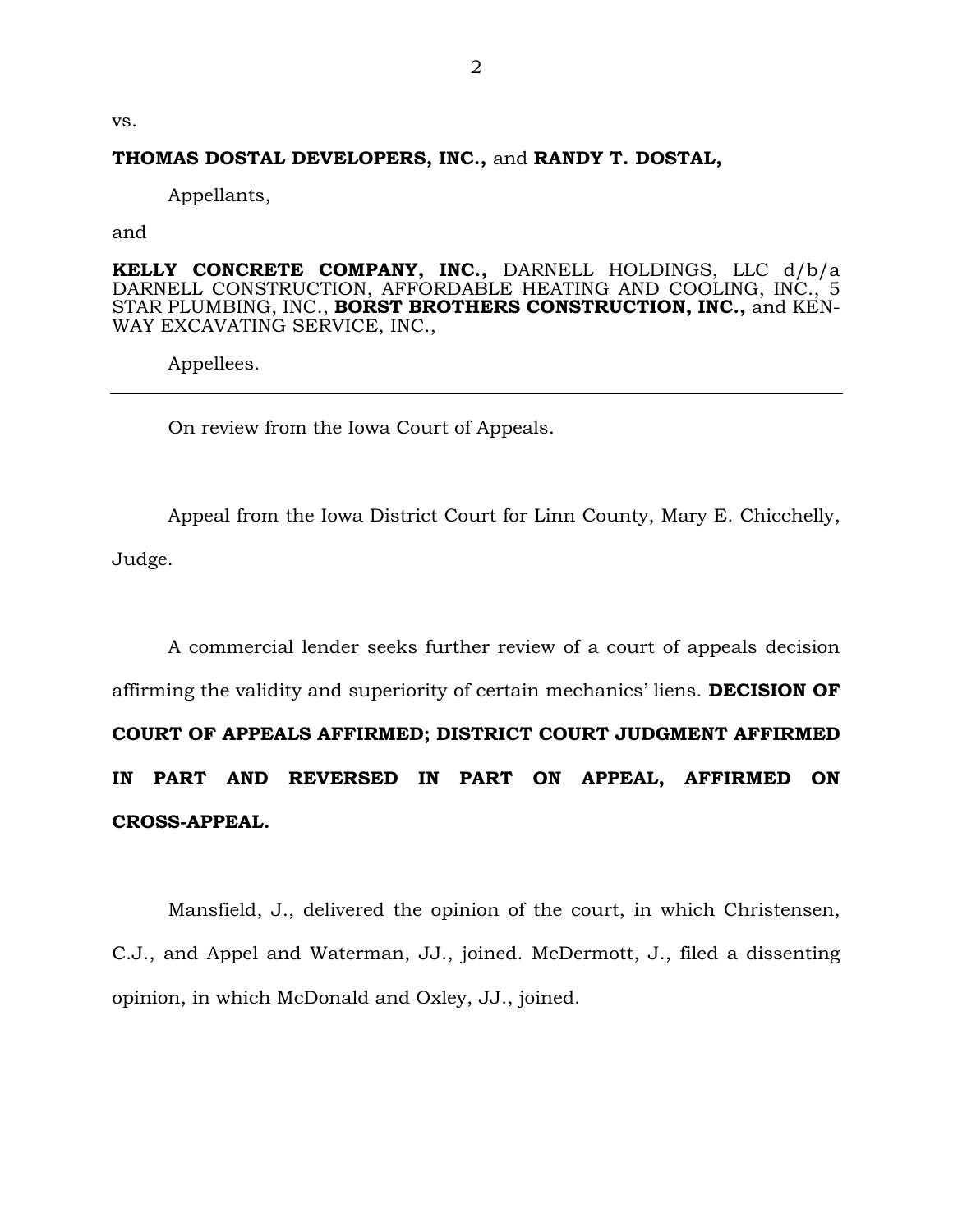vs.

#### **THOMAS DOSTAL DEVELOPERS, INC.,** and **RANDY T. DOSTAL,**

Appellants,

and

**KELLY CONCRETE COMPANY, INC.,** DARNELL HOLDINGS, LLC d/b/a DARNELL CONSTRUCTION, AFFORDABLE HEATING AND COOLING, INC., 5 STAR PLUMBING, INC., **BORST BROTHERS CONSTRUCTION, INC.,** and KEN-WAY EXCAVATING SERVICE, INC.,

Appellees.

On review from the Iowa Court of Appeals.

Appeal from the Iowa District Court for Linn County, Mary E. Chicchelly, Judge.

A commercial lender seeks further review of a court of appeals decision affirming the validity and superiority of certain mechanics' liens. **DECISION OF COURT OF APPEALS AFFIRMED; DISTRICT COURT JUDGMENT AFFIRMED IN PART AND REVERSED IN PART ON APPEAL, AFFIRMED ON CROSS-APPEAL.**

Mansfield, J., delivered the opinion of the court, in which Christensen, C.J., and Appel and Waterman, JJ., joined. McDermott, J., filed a dissenting opinion, in which McDonald and Oxley, JJ., joined.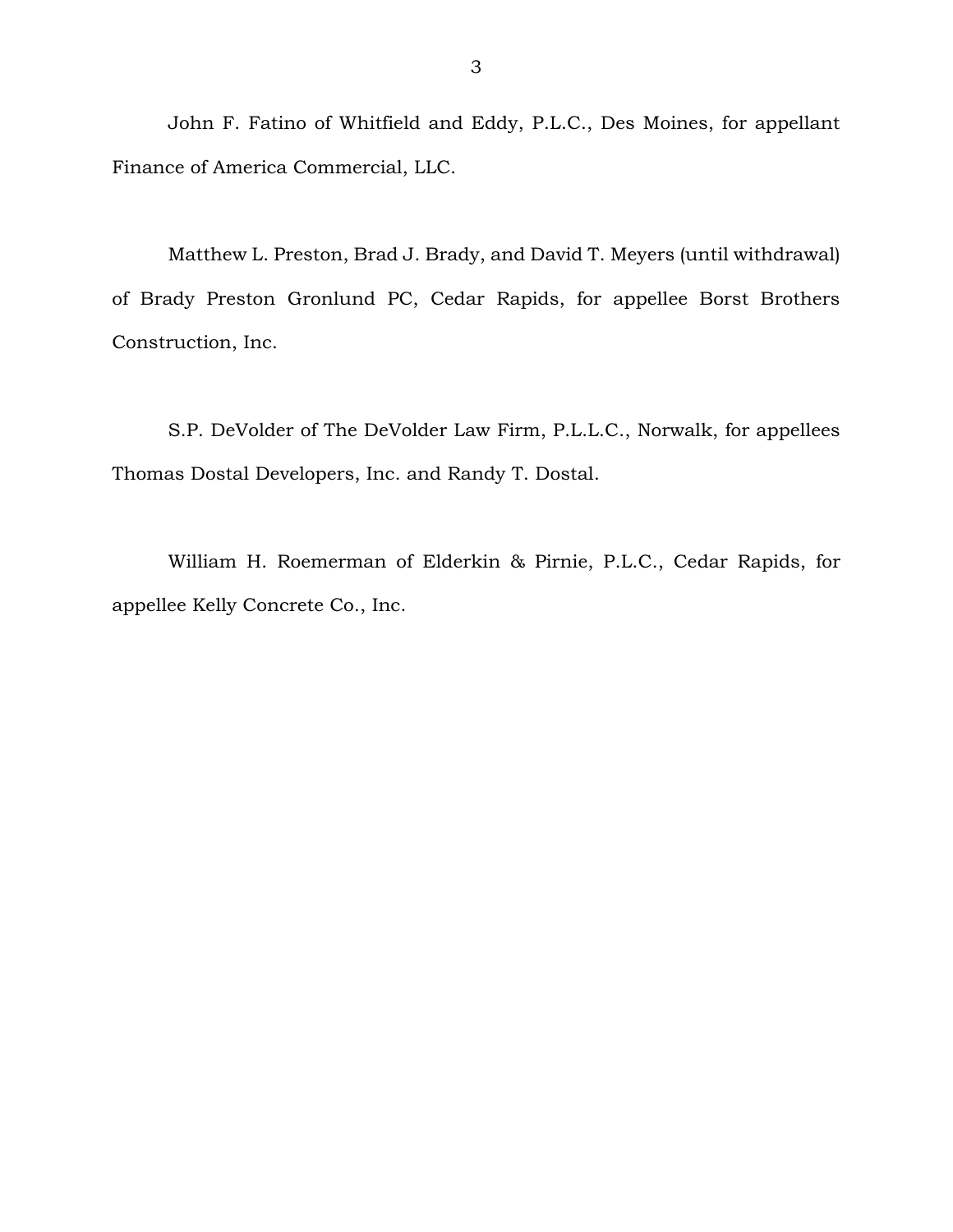John F. Fatino of Whitfield and Eddy, P.L.C., Des Moines, for appellant Finance of America Commercial, LLC.

Matthew L. Preston, Brad J. Brady, and David T. Meyers (until withdrawal) of Brady Preston Gronlund PC, Cedar Rapids, for appellee Borst Brothers Construction, Inc.

S.P. DeVolder of The DeVolder Law Firm, P.L.L.C., Norwalk, for appellees Thomas Dostal Developers, Inc. and Randy T. Dostal.

William H. Roemerman of Elderkin & Pirnie, P.L.C., Cedar Rapids, for appellee Kelly Concrete Co., Inc.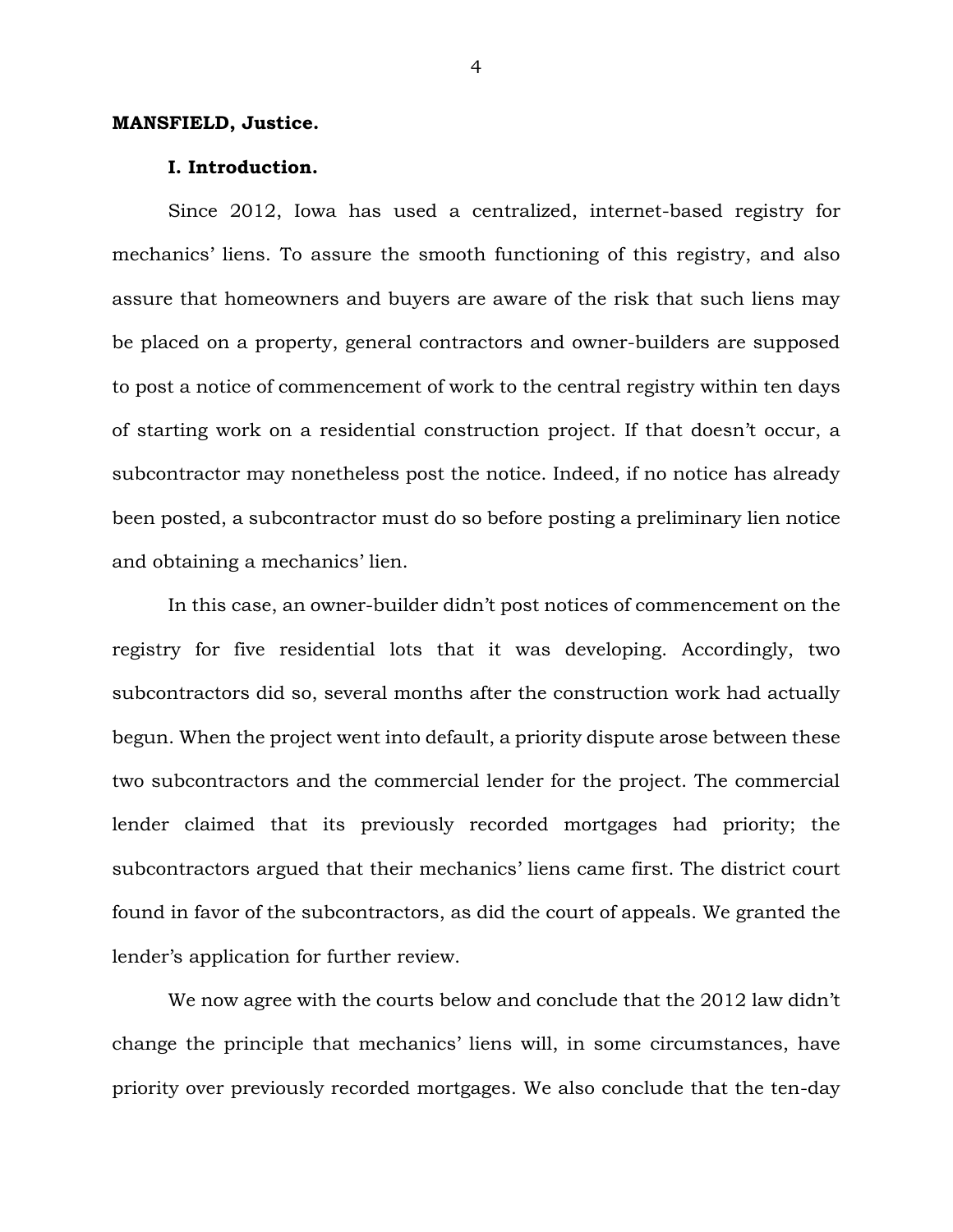#### **MANSFIELD, Justice.**

#### **I. Introduction.**

Since 2012, Iowa has used a centralized, internet-based registry for mechanics' liens. To assure the smooth functioning of this registry, and also assure that homeowners and buyers are aware of the risk that such liens may be placed on a property, general contractors and owner-builders are supposed to post a notice of commencement of work to the central registry within ten days of starting work on a residential construction project. If that doesn't occur, a subcontractor may nonetheless post the notice. Indeed, if no notice has already been posted, a subcontractor must do so before posting a preliminary lien notice and obtaining a mechanics' lien.

In this case, an owner-builder didn't post notices of commencement on the registry for five residential lots that it was developing. Accordingly, two subcontractors did so, several months after the construction work had actually begun. When the project went into default, a priority dispute arose between these two subcontractors and the commercial lender for the project. The commercial lender claimed that its previously recorded mortgages had priority; the subcontractors argued that their mechanics' liens came first. The district court found in favor of the subcontractors, as did the court of appeals. We granted the lender's application for further review.

We now agree with the courts below and conclude that the 2012 law didn't change the principle that mechanics' liens will, in some circumstances, have priority over previously recorded mortgages. We also conclude that the ten-day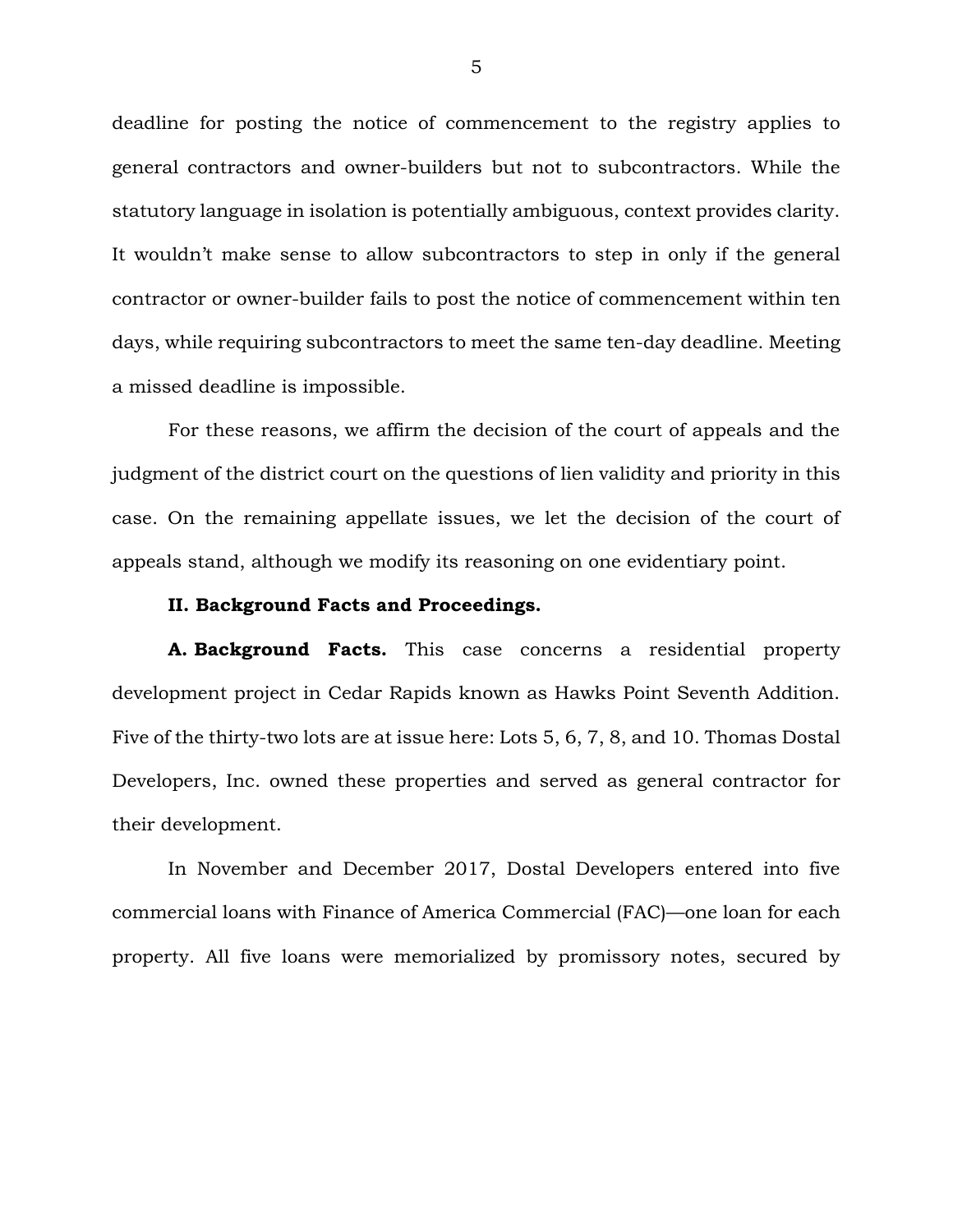deadline for posting the notice of commencement to the registry applies to general contractors and owner-builders but not to subcontractors. While the statutory language in isolation is potentially ambiguous, context provides clarity. It wouldn't make sense to allow subcontractors to step in only if the general contractor or owner-builder fails to post the notice of commencement within ten days, while requiring subcontractors to meet the same ten-day deadline. Meeting a missed deadline is impossible.

For these reasons, we affirm the decision of the court of appeals and the judgment of the district court on the questions of lien validity and priority in this case. On the remaining appellate issues, we let the decision of the court of appeals stand, although we modify its reasoning on one evidentiary point.

#### **II. Background Facts and Proceedings.**

**A. Background Facts.** This case concerns a residential property development project in Cedar Rapids known as Hawks Point Seventh Addition. Five of the thirty-two lots are at issue here: Lots 5, 6, 7, 8, and 10. Thomas Dostal Developers, Inc. owned these properties and served as general contractor for their development.

In November and December 2017, Dostal Developers entered into five commercial loans with Finance of America Commercial (FAC)—one loan for each property. All five loans were memorialized by promissory notes, secured by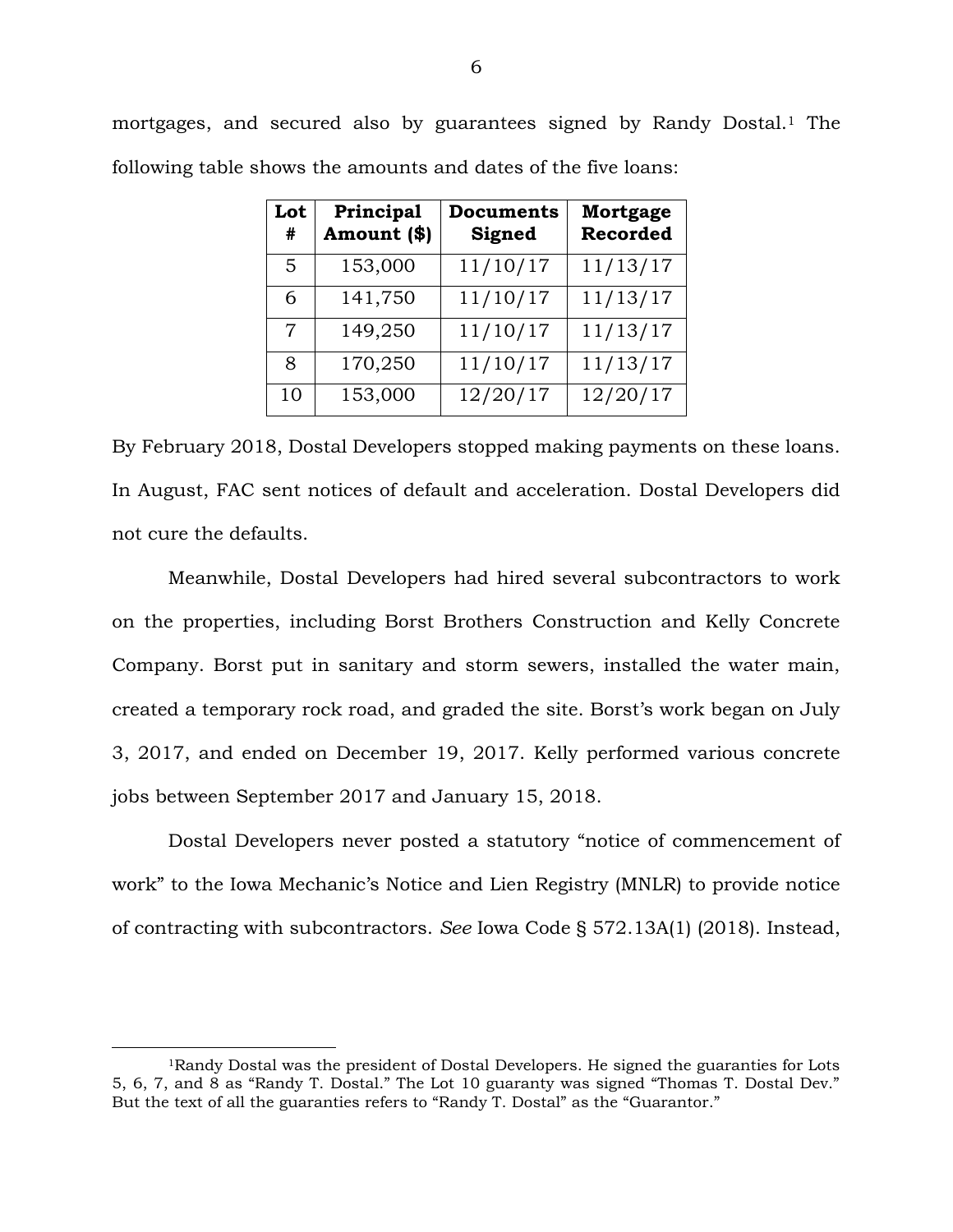mortgages, and secured also by guarantees signed by Randy Dostal.<sup>1</sup> The following table shows the amounts and dates of the five loans:

| Lot<br>#       | Principal<br>Amount (\$) | <b>Documents</b><br>Signed | Mortgage<br><b>Recorded</b> |
|----------------|--------------------------|----------------------------|-----------------------------|
| 5              | 153,000                  | 11/10/17                   | 11/13/17                    |
| 6              | 141,750                  | 11/10/17                   | 11/13/17                    |
| $\overline{7}$ | 149,250                  | 11/10/17                   | 11/13/17                    |
| 8              | 170,250                  | 11/10/17                   | 11/13/17                    |
| 10             | 153,000                  | 12/20/17                   | 12/20/17                    |

By February 2018, Dostal Developers stopped making payments on these loans. In August, FAC sent notices of default and acceleration. Dostal Developers did not cure the defaults.

Meanwhile, Dostal Developers had hired several subcontractors to work on the properties, including Borst Brothers Construction and Kelly Concrete Company. Borst put in sanitary and storm sewers, installed the water main, created a temporary rock road, and graded the site. Borst's work began on July 3, 2017, and ended on December 19, 2017. Kelly performed various concrete jobs between September 2017 and January 15, 2018.

Dostal Developers never posted a statutory "notice of commencement of work" to the Iowa Mechanic's Notice and Lien Registry (MNLR) to provide notice of contracting with subcontractors. *See* Iowa Code § 572.13A(1) (2018). Instead,

<sup>1</sup>Randy Dostal was the president of Dostal Developers. He signed the guaranties for Lots 5, 6, 7, and 8 as "Randy T. Dostal." The Lot 10 guaranty was signed "Thomas T. Dostal Dev." But the text of all the guaranties refers to "Randy T. Dostal" as the "Guarantor."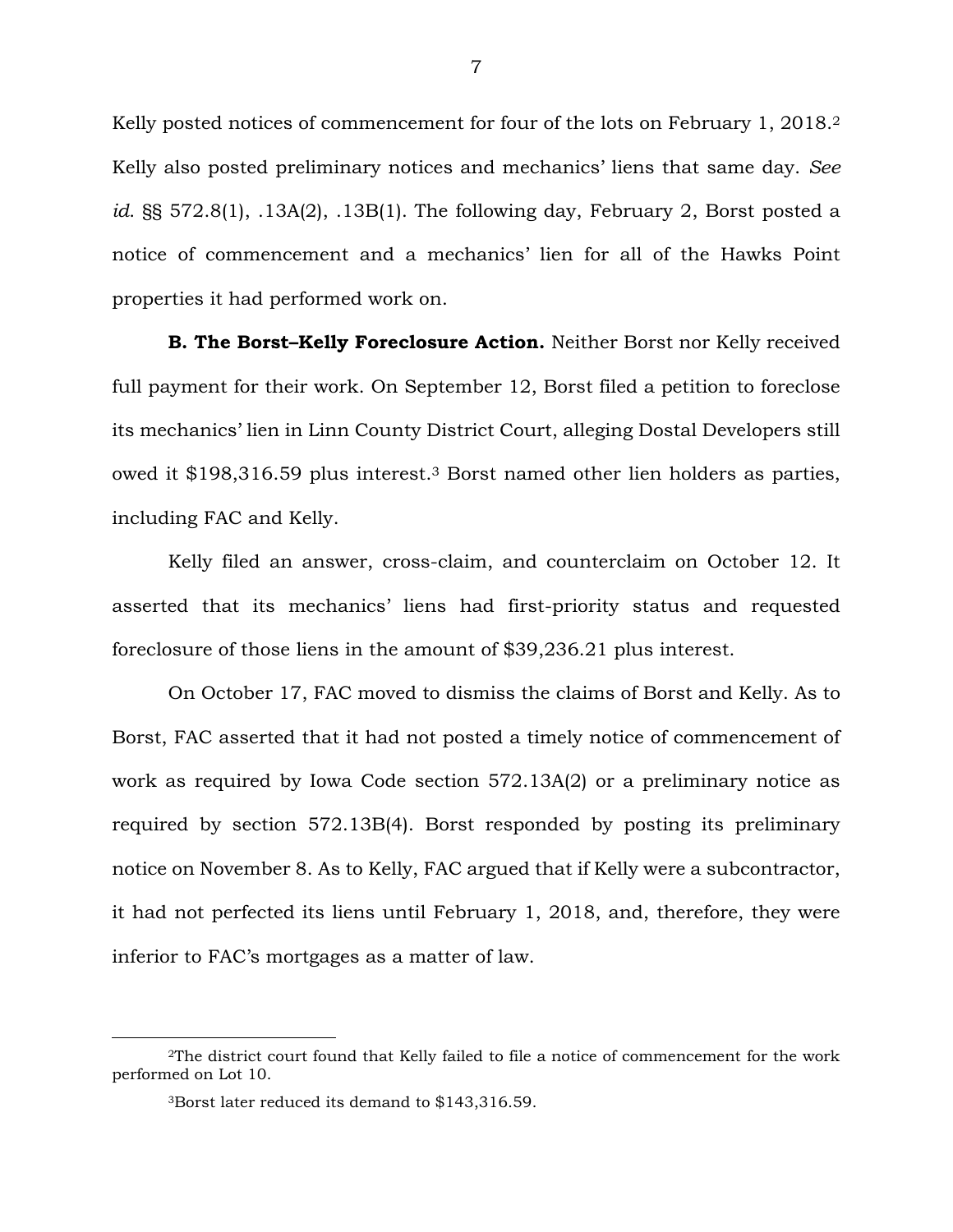Kelly posted notices of commencement for four of the lots on February 1, 2018.<sup>2</sup> Kelly also posted preliminary notices and mechanics' liens that same day. *See id*. §§ 572.8(1), .13A(2), .13B(1). The following day, February 2, Borst posted a notice of commencement and a mechanics' lien for all of the Hawks Point properties it had performed work on.

**B. The Borst–Kelly Foreclosure Action.** Neither Borst nor Kelly received full payment for their work. On September 12, Borst filed a petition to foreclose its mechanics' lien in Linn County District Court, alleging Dostal Developers still owed it \$198,316.59 plus interest.<sup>3</sup> Borst named other lien holders as parties, including FAC and Kelly.

Kelly filed an answer, cross-claim, and counterclaim on October 12. It asserted that its mechanics' liens had first-priority status and requested foreclosure of those liens in the amount of \$39,236.21 plus interest.

On October 17, FAC moved to dismiss the claims of Borst and Kelly. As to Borst, FAC asserted that it had not posted a timely notice of commencement of work as required by Iowa Code section 572.13A(2) or a preliminary notice as required by section 572.13B(4). Borst responded by posting its preliminary notice on November 8. As to Kelly, FAC argued that if Kelly were a subcontractor, it had not perfected its liens until February 1, 2018, and, therefore, they were inferior to FAC's mortgages as a matter of law.

<sup>2</sup>The district court found that Kelly failed to file a notice of commencement for the work performed on Lot 10.

<sup>3</sup>Borst later reduced its demand to \$143,316.59.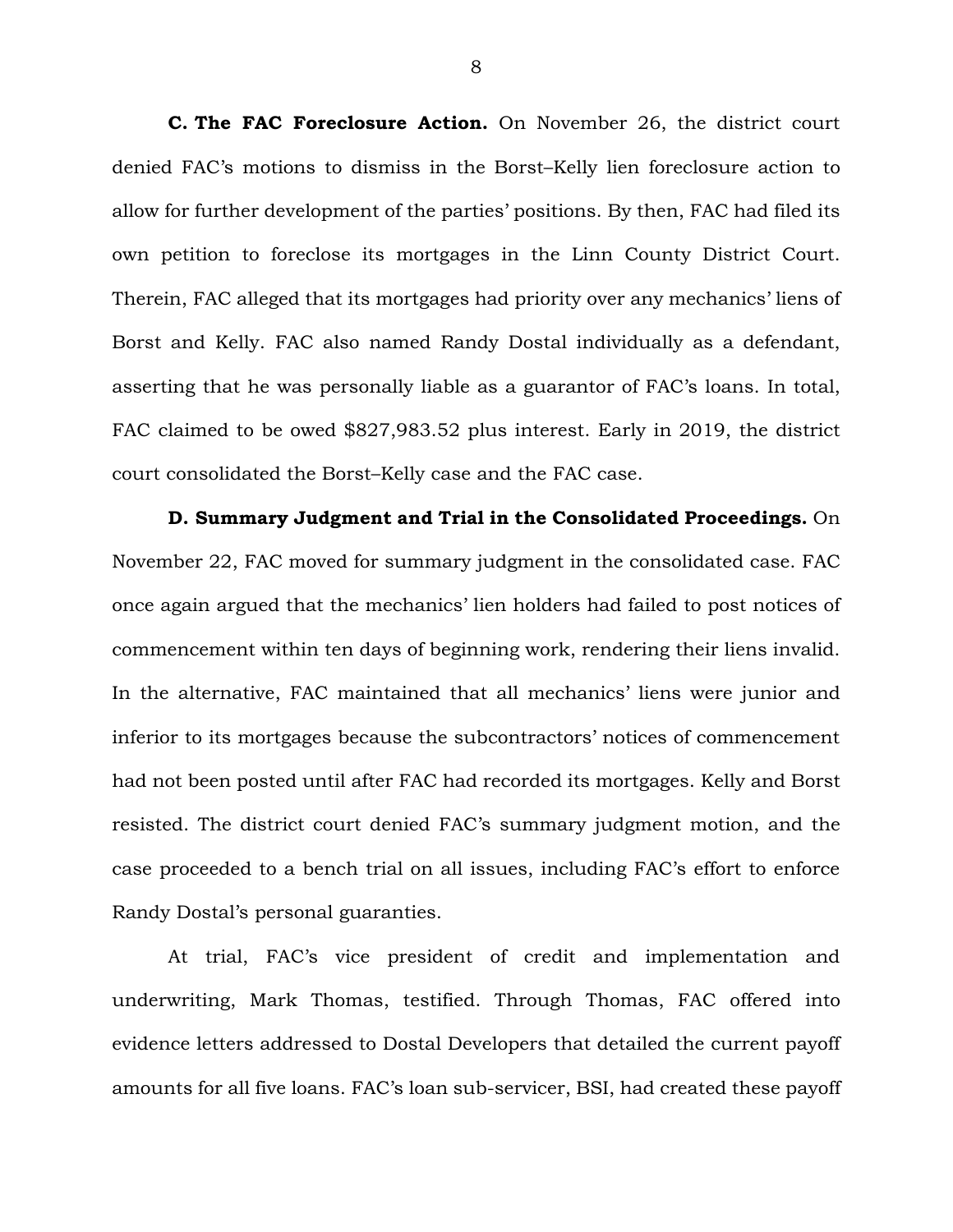**C. The FAC Foreclosure Action.** On November 26, the district court denied FAC's motions to dismiss in the Borst–Kelly lien foreclosure action to allow for further development of the parties' positions. By then, FAC had filed its own petition to foreclose its mortgages in the Linn County District Court. Therein, FAC alleged that its mortgages had priority over any mechanics' liens of Borst and Kelly. FAC also named Randy Dostal individually as a defendant, asserting that he was personally liable as a guarantor of FAC's loans. In total, FAC claimed to be owed \$827,983.52 plus interest. Early in 2019, the district court consolidated the Borst–Kelly case and the FAC case.

**D. Summary Judgment and Trial in the Consolidated Proceedings.** On November 22, FAC moved for summary judgment in the consolidated case. FAC once again argued that the mechanics' lien holders had failed to post notices of commencement within ten days of beginning work, rendering their liens invalid. In the alternative, FAC maintained that all mechanics' liens were junior and inferior to its mortgages because the subcontractors' notices of commencement had not been posted until after FAC had recorded its mortgages. Kelly and Borst resisted. The district court denied FAC's summary judgment motion, and the case proceeded to a bench trial on all issues, including FAC's effort to enforce Randy Dostal's personal guaranties.

At trial, FAC's vice president of credit and implementation and underwriting, Mark Thomas, testified. Through Thomas, FAC offered into evidence letters addressed to Dostal Developers that detailed the current payoff amounts for all five loans. FAC's loan sub-servicer, BSI, had created these payoff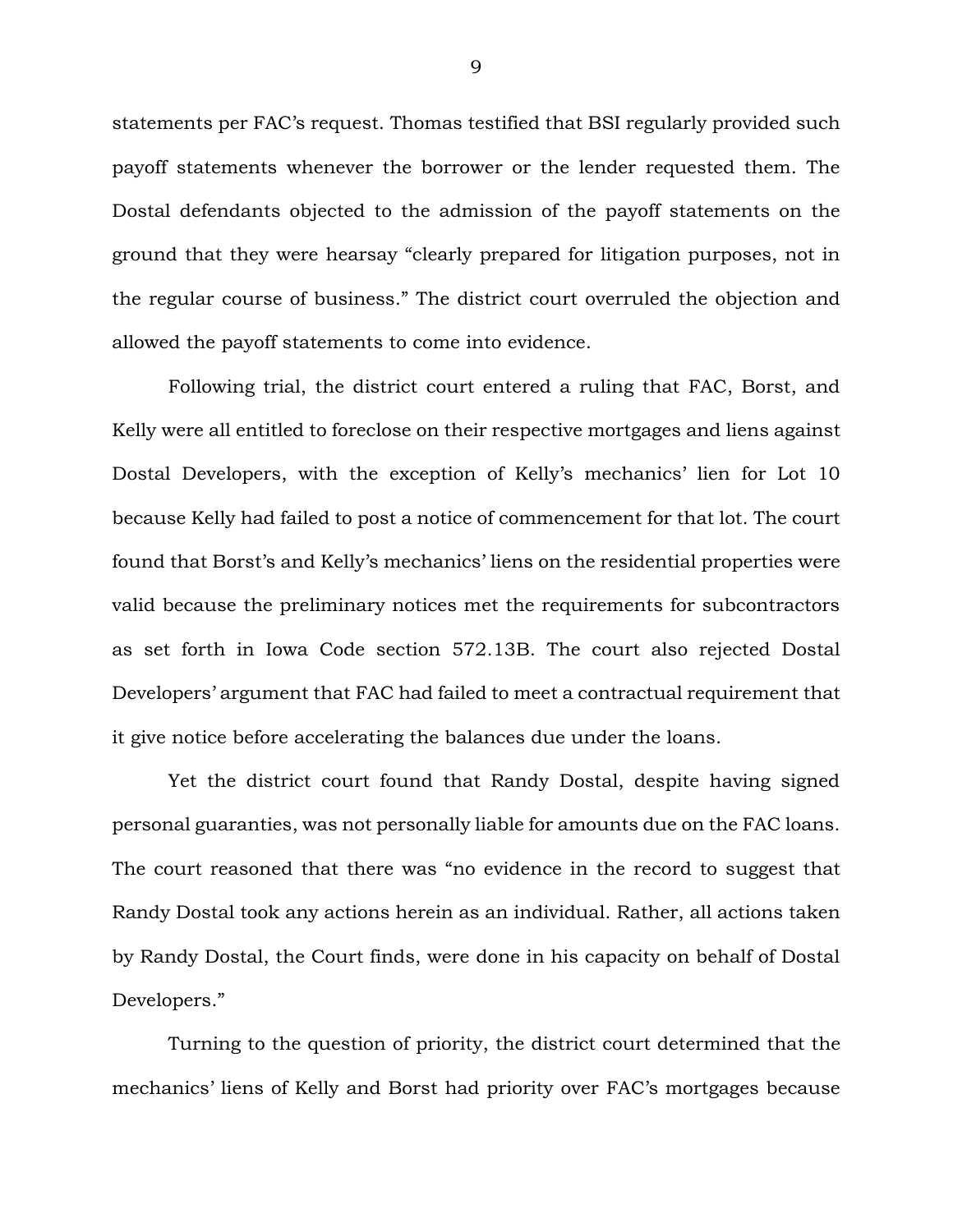statements per FAC's request. Thomas testified that BSI regularly provided such payoff statements whenever the borrower or the lender requested them. The Dostal defendants objected to the admission of the payoff statements on the ground that they were hearsay "clearly prepared for litigation purposes, not in the regular course of business." The district court overruled the objection and allowed the payoff statements to come into evidence.

Following trial, the district court entered a ruling that FAC, Borst, and Kelly were all entitled to foreclose on their respective mortgages and liens against Dostal Developers, with the exception of Kelly's mechanics' lien for Lot 10 because Kelly had failed to post a notice of commencement for that lot. The court found that Borst's and Kelly's mechanics' liens on the residential properties were valid because the preliminary notices met the requirements for subcontractors as set forth in Iowa Code section 572.13B. The court also rejected Dostal Developers' argument that FAC had failed to meet a contractual requirement that it give notice before accelerating the balances due under the loans.

Yet the district court found that Randy Dostal, despite having signed personal guaranties, was not personally liable for amounts due on the FAC loans. The court reasoned that there was "no evidence in the record to suggest that Randy Dostal took any actions herein as an individual. Rather, all actions taken by Randy Dostal, the Court finds, were done in his capacity on behalf of Dostal Developers."

Turning to the question of priority, the district court determined that the mechanics' liens of Kelly and Borst had priority over FAC's mortgages because

9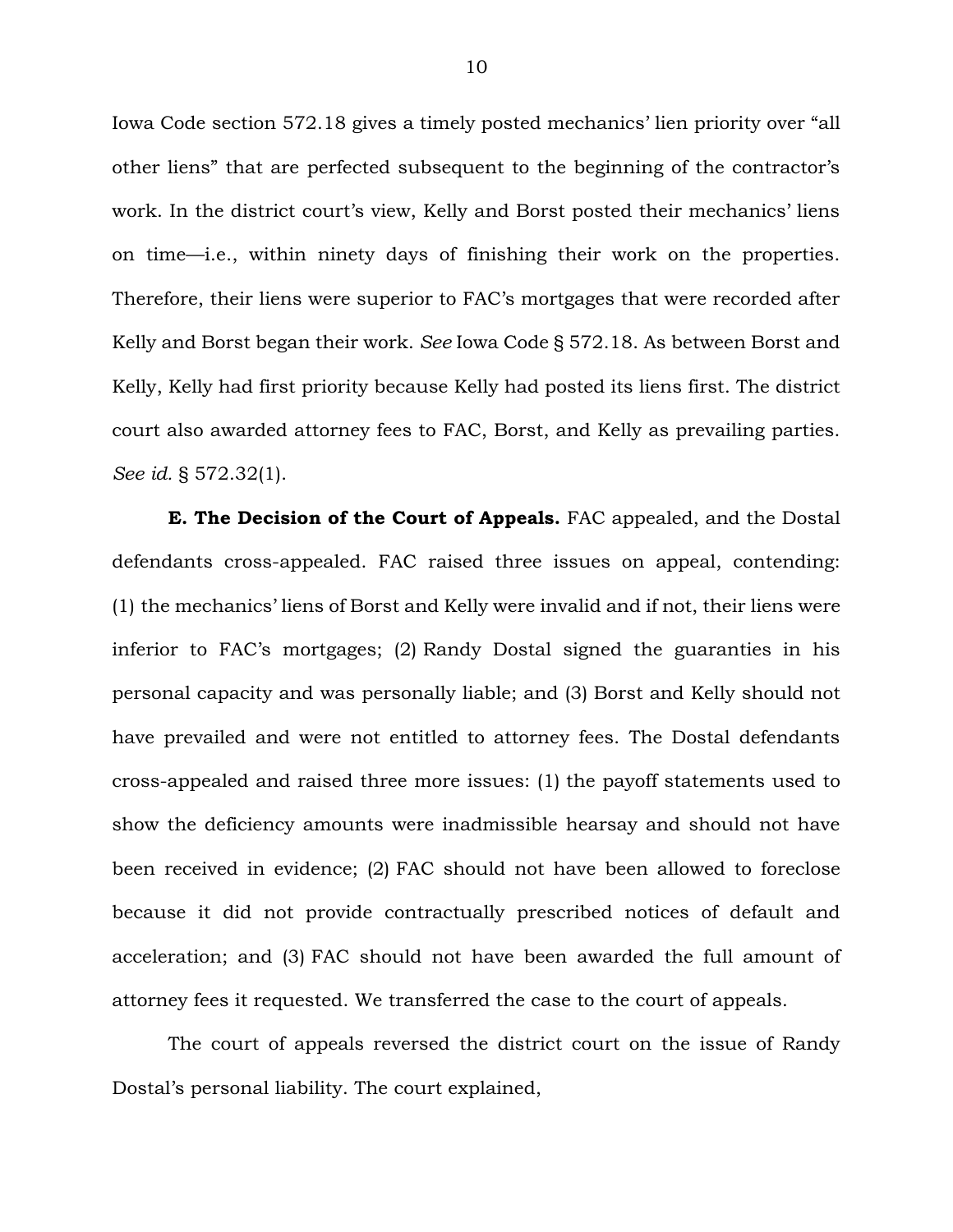Iowa Code section 572.18 gives a timely posted mechanics' lien priority over "all other liens" that are perfected subsequent to the beginning of the contractor's work. In the district court's view, Kelly and Borst posted their mechanics' liens on time—i.e., within ninety days of finishing their work on the properties. Therefore, their liens were superior to FAC's mortgages that were recorded after Kelly and Borst began their work. *See* Iowa Code § 572.18. As between Borst and Kelly, Kelly had first priority because Kelly had posted its liens first. The district court also awarded attorney fees to FAC, Borst, and Kelly as prevailing parties. *See id.* § 572.32(1).

**E. The Decision of the Court of Appeals.** FAC appealed, and the Dostal defendants cross-appealed. FAC raised three issues on appeal, contending: (1) the mechanics' liens of Borst and Kelly were invalid and if not, their liens were inferior to FAC's mortgages; (2) Randy Dostal signed the guaranties in his personal capacity and was personally liable; and (3) Borst and Kelly should not have prevailed and were not entitled to attorney fees. The Dostal defendants cross-appealed and raised three more issues: (1) the payoff statements used to show the deficiency amounts were inadmissible hearsay and should not have been received in evidence; (2) FAC should not have been allowed to foreclose because it did not provide contractually prescribed notices of default and acceleration; and (3) FAC should not have been awarded the full amount of attorney fees it requested. We transferred the case to the court of appeals.

The court of appeals reversed the district court on the issue of Randy Dostal's personal liability. The court explained,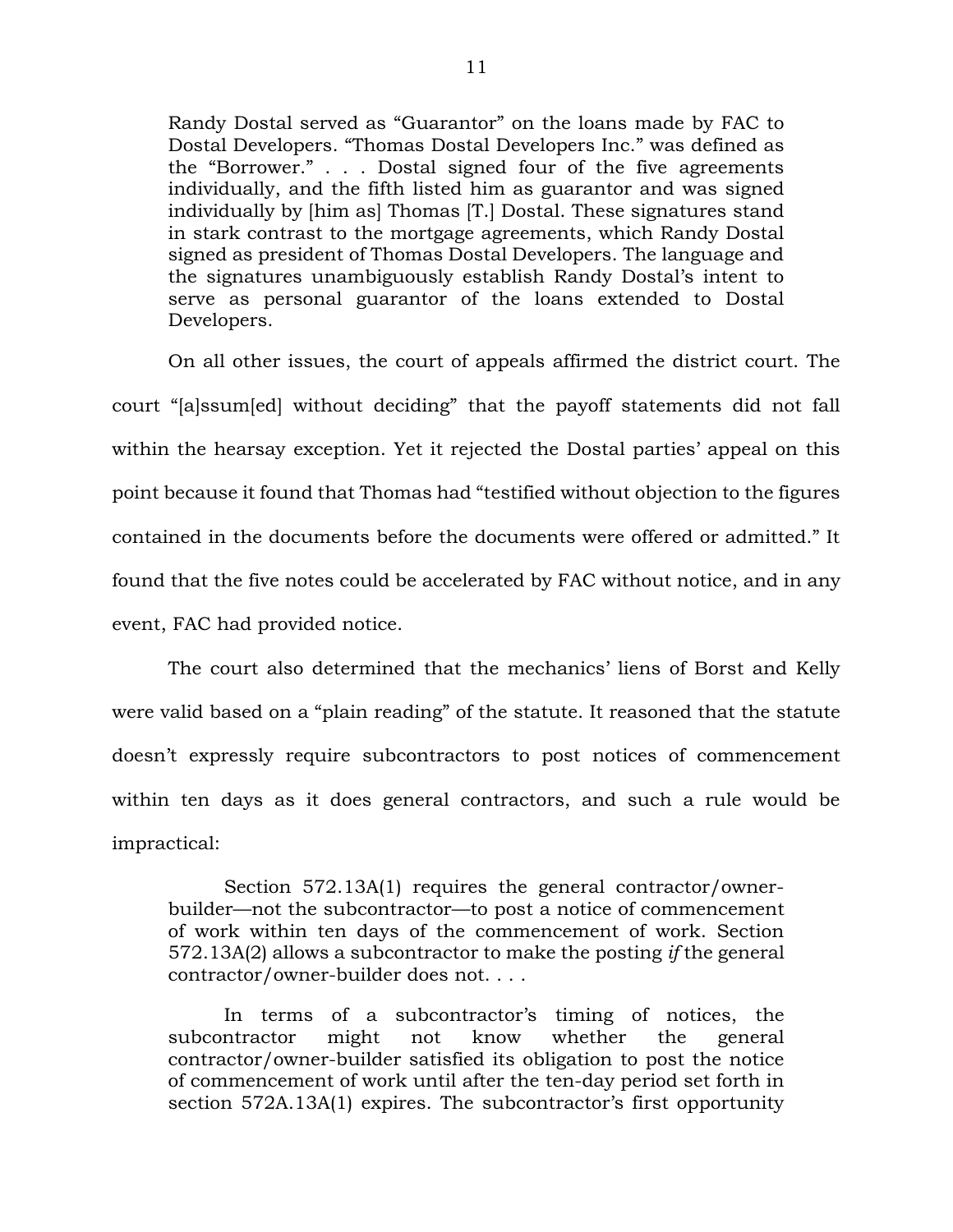Randy Dostal served as "Guarantor" on the loans made by FAC to Dostal Developers. "Thomas Dostal Developers Inc." was defined as the "Borrower." . . . Dostal signed four of the five agreements individually, and the fifth listed him as guarantor and was signed individually by [him as] Thomas [T.] Dostal. These signatures stand in stark contrast to the mortgage agreements, which Randy Dostal signed as president of Thomas Dostal Developers. The language and the signatures unambiguously establish Randy Dostal's intent to serve as personal guarantor of the loans extended to Dostal Developers.

On all other issues, the court of appeals affirmed the district court. The court "[a]ssum[ed] without deciding" that the payoff statements did not fall within the hearsay exception. Yet it rejected the Dostal parties' appeal on this point because it found that Thomas had "testified without objection to the figures contained in the documents before the documents were offered or admitted." It found that the five notes could be accelerated by FAC without notice, and in any event, FAC had provided notice.

The court also determined that the mechanics' liens of Borst and Kelly were valid based on a "plain reading" of the statute. It reasoned that the statute doesn't expressly require subcontractors to post notices of commencement within ten days as it does general contractors, and such a rule would be impractical:

Section 572.13A(1) requires the general contractor/ownerbuilder—not the subcontractor—to post a notice of commencement of work within ten days of the commencement of work. Section 572.13A(2) allows a subcontractor to make the posting *if* the general contractor/owner-builder does not. . . .

In terms of a subcontractor's timing of notices, the subcontractor might not know whether the general contractor/owner-builder satisfied its obligation to post the notice of commencement of work until after the ten-day period set forth in section 572A.13A(1) expires. The subcontractor's first opportunity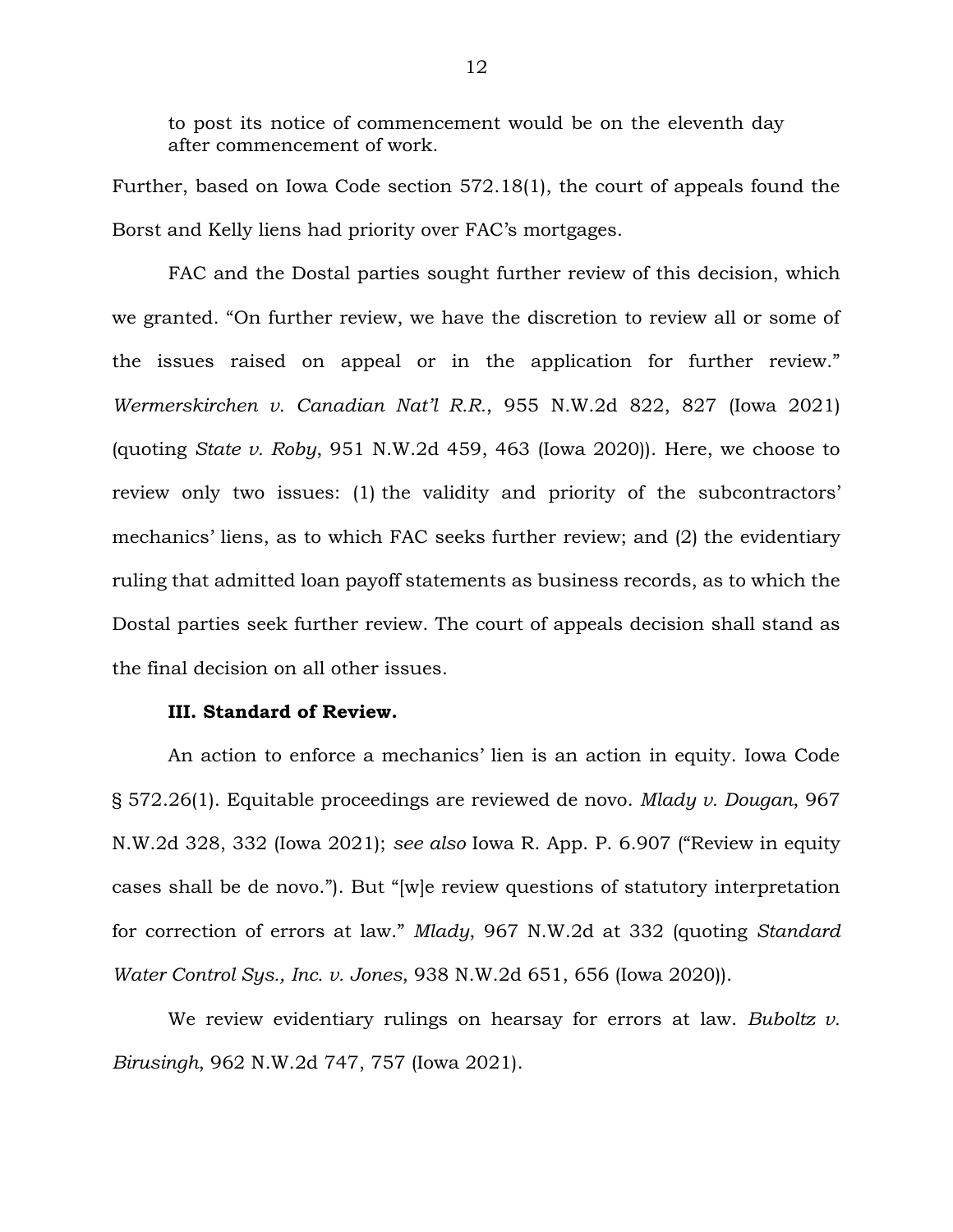to post its notice of commencement would be on the eleventh day after commencement of work.

Further, based on Iowa Code section 572.18(1), the court of appeals found the Borst and Kelly liens had priority over FAC's mortgages.

FAC and the Dostal parties sought further review of this decision, which we granted. "On further review, we have the discretion to review all or some of the issues raised on appeal or in the application for further review." *Wermerskirchen v. Canadian Nat'l R.R.*, 955 N.W.2d 822, 827 (Iowa 2021) (quoting *State v. Roby*, 951 N.W.2d 459, 463 (Iowa 2020)). Here, we choose to review only two issues: (1) the validity and priority of the subcontractors' mechanics' liens, as to which FAC seeks further review; and (2) the evidentiary ruling that admitted loan payoff statements as business records, as to which the Dostal parties seek further review. The court of appeals decision shall stand as the final decision on all other issues.

### **III. Standard of Review.**

An action to enforce a mechanics' lien is an action in equity. Iowa Code § 572.26(1). Equitable proceedings are reviewed de novo. *Mlady v. Dougan*, 967 N.W.2d 328, 332 (Iowa 2021); *see also* Iowa R. App. P. 6.907 ("Review in equity cases shall be de novo."). But "[w]e review questions of statutory interpretation for correction of errors at law." *Mlady*, 967 N.W.2d at 332 (quoting *Standard Water Control Sys., Inc. v. Jones*, 938 N.W.2d 651, 656 (Iowa 2020)).

We review evidentiary rulings on hearsay for errors at law. *Buboltz v. Birusingh*, 962 N.W.2d 747, 757 (Iowa 2021).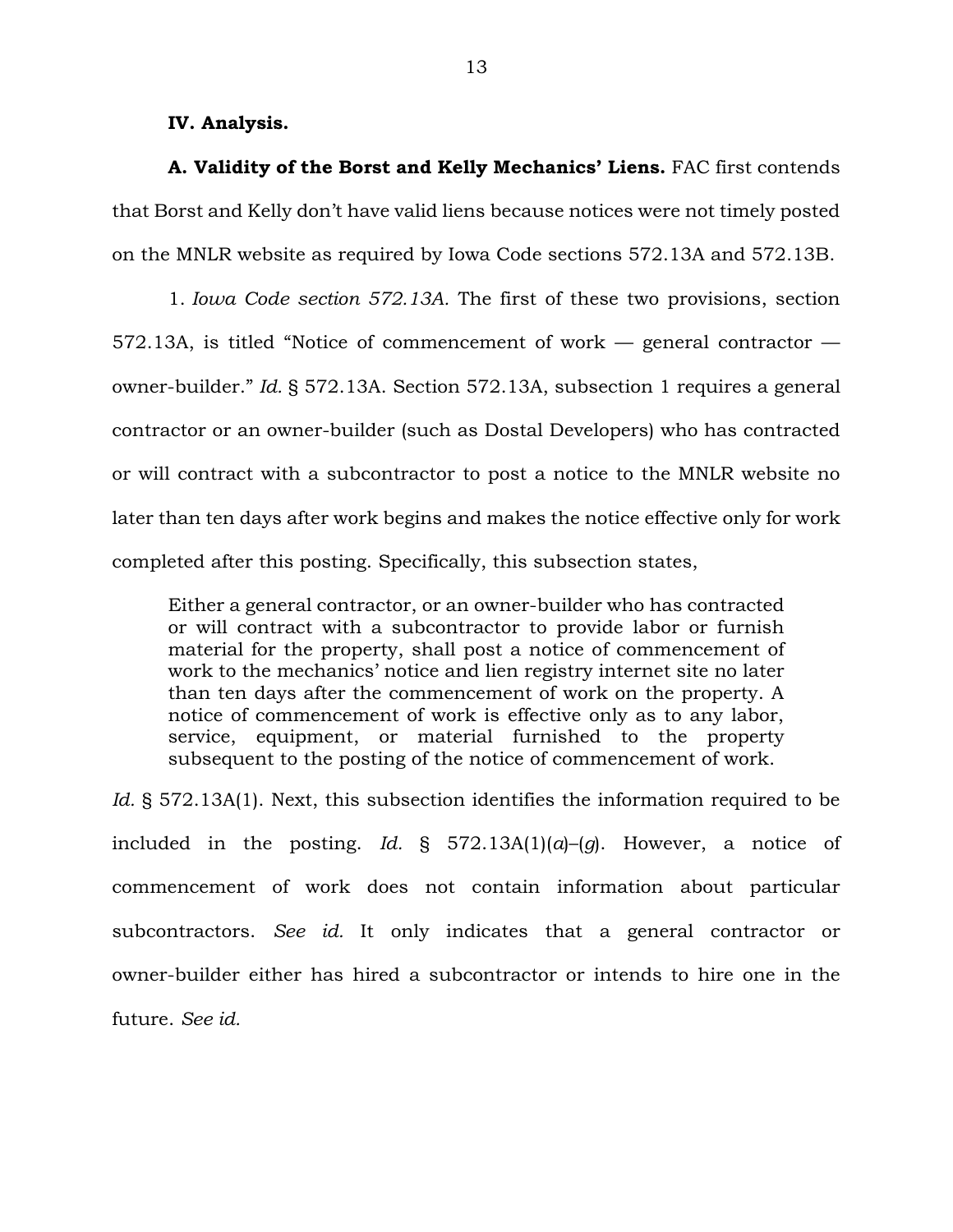#### **IV. Analysis.**

**A. Validity of the Borst and Kelly Mechanics' Liens.** FAC first contends that Borst and Kelly don't have valid liens because notices were not timely posted on the MNLR website as required by Iowa Code sections 572.13A and 572.13B.

1. *Iowa Code section 572.13A.* The first of these two provisions, section 572.13A, is titled "Notice of commencement of work — general contractor owner-builder." *Id.* § 572.13A. Section 572.13A, subsection 1 requires a general contractor or an owner-builder (such as Dostal Developers) who has contracted or will contract with a subcontractor to post a notice to the MNLR website no later than ten days after work begins and makes the notice effective only for work completed after this posting. Specifically, this subsection states,

Either a general contractor, or an owner-builder who has contracted or will contract with a subcontractor to provide labor or furnish material for the property, shall post a notice of commencement of work to the mechanics' notice and lien registry internet site no later than ten days after the commencement of work on the property. A notice of commencement of work is effective only as to any labor, service, equipment, or material furnished to the property subsequent to the posting of the notice of commencement of work.

*Id.* § 572.13A(1). Next, this subsection identifies the information required to be included in the posting. *Id.* § 572.13A(1)(*a*)–(*g*). However, a notice of commencement of work does not contain information about particular subcontractors. *See id.* It only indicates that a general contractor or owner-builder either has hired a subcontractor or intends to hire one in the future. *See id.*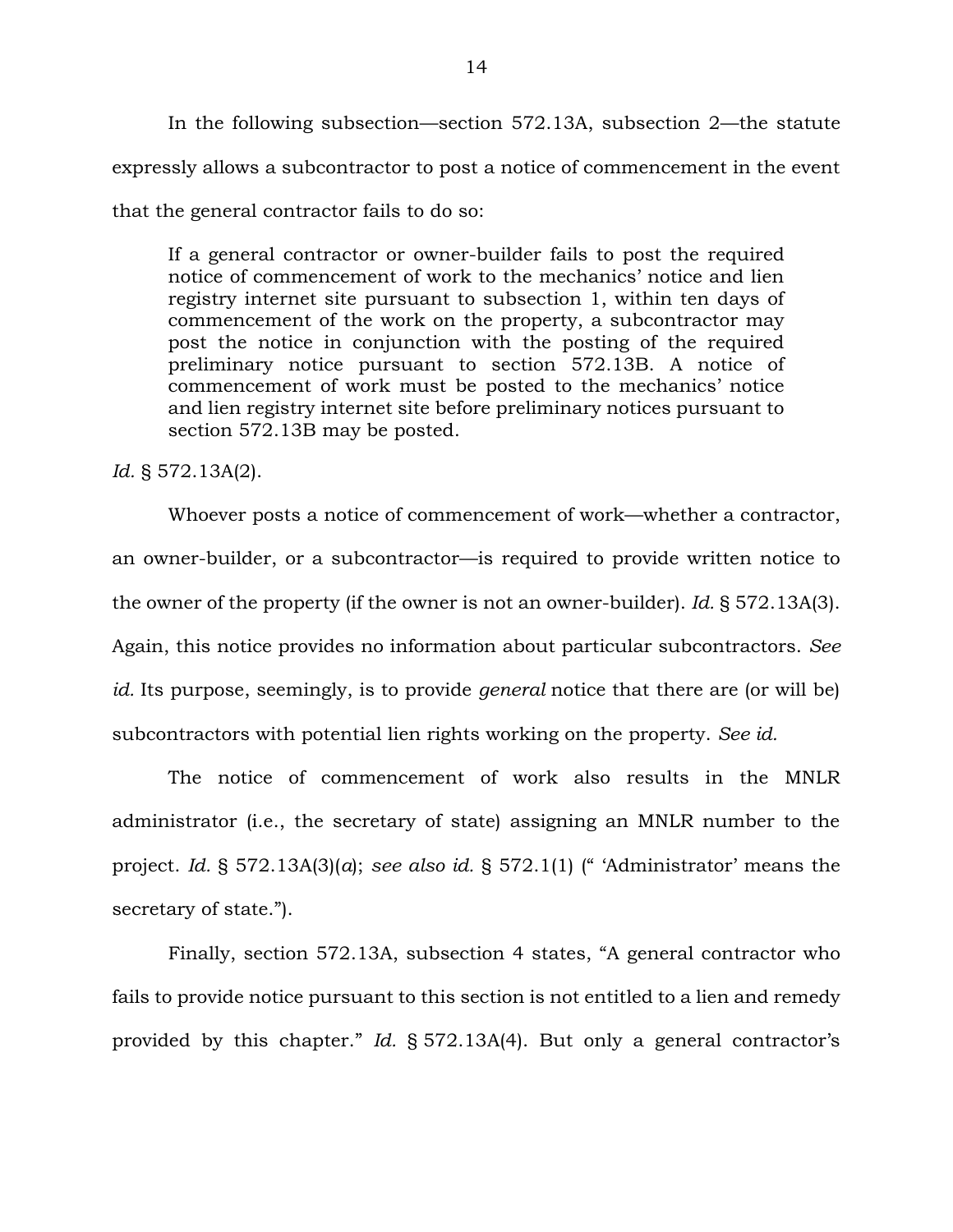In the following subsection—section 572.13A, subsection 2—the statute expressly allows a subcontractor to post a notice of commencement in the event that the general contractor fails to do so:

If a general contractor or owner-builder fails to post the required notice of commencement of work to the mechanics' notice and lien registry internet site pursuant to subsection 1, within ten days of commencement of the work on the property, a subcontractor may post the notice in conjunction with the posting of the required preliminary notice pursuant to section 572.13B. A notice of commencement of work must be posted to the mechanics' notice and lien registry internet site before preliminary notices pursuant to section 572.13B may be posted.

*Id.* § 572.13A(2).

Whoever posts a notice of commencement of work—whether a contractor, an owner-builder, or a subcontractor—is required to provide written notice to the owner of the property (if the owner is not an owner-builder). *Id.* § 572.13A(3). Again, this notice provides no information about particular subcontractors. *See id.* Its purpose, seemingly, is to provide *general* notice that there are (or will be) subcontractors with potential lien rights working on the property. *See id.*

The notice of commencement of work also results in the MNLR administrator (i.e., the secretary of state) assigning an MNLR number to the project. *Id.* § 572.13A(3)(*a*); *see also id.* § 572.1(1) (" 'Administrator' means the secretary of state.").

Finally, section 572.13A, subsection 4 states, "A general contractor who fails to provide notice pursuant to this section is not entitled to a lien and remedy provided by this chapter." *Id.* § 572.13A(4). But only a general contractor's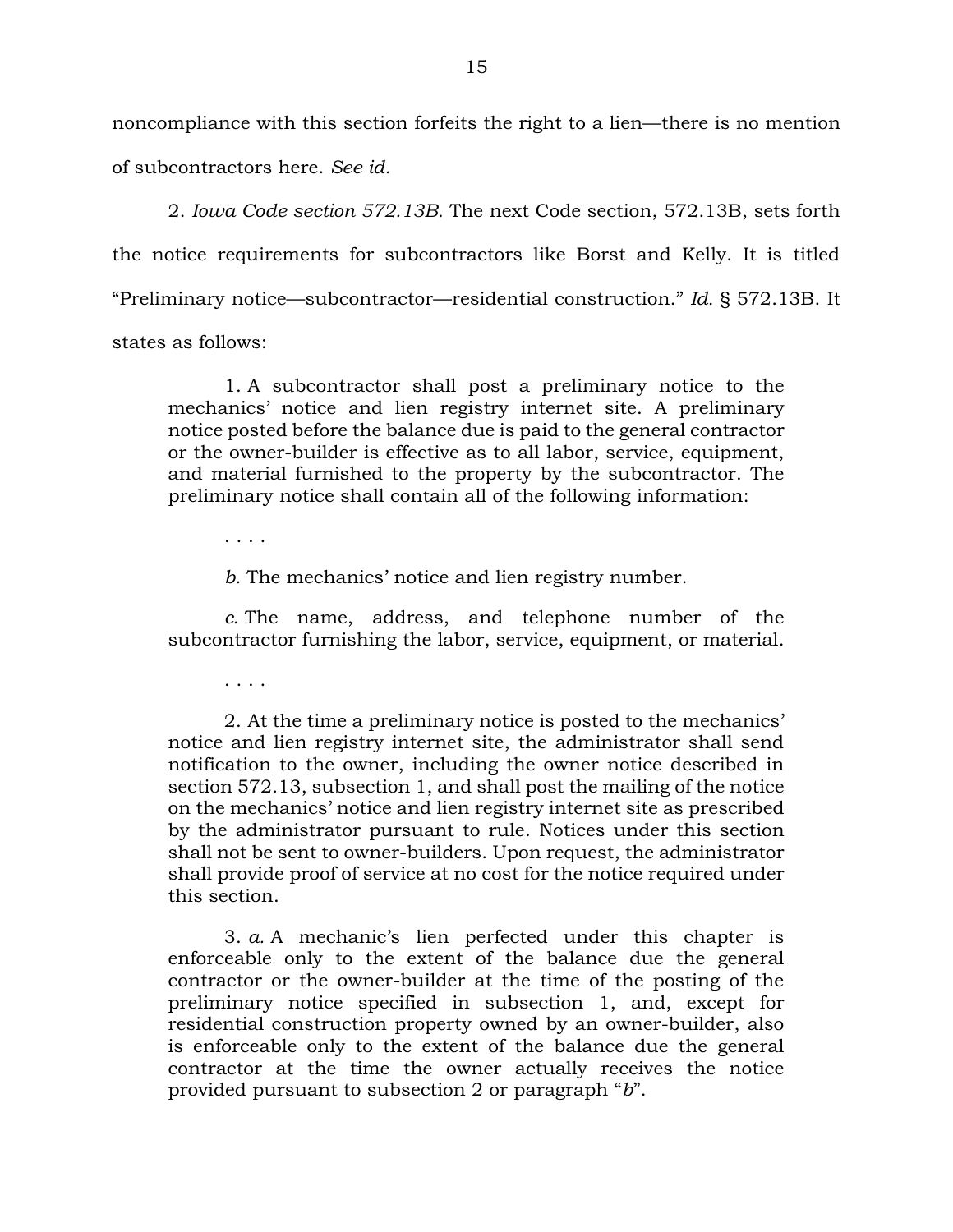noncompliance with this section forfeits the right to a lien—there is no mention of subcontractors here. *See id.*

2. *Iowa Code section 572.13B.* The next Code section, 572.13B, sets forth the notice requirements for subcontractors like Borst and Kelly. It is titled "Preliminary notice—subcontractor—residential construction." *Id.* § 572.13B. It states as follows:

1. A subcontractor shall post a preliminary notice to the mechanics' notice and lien registry internet site. A preliminary notice posted before the balance due is paid to the general contractor or the owner-builder is effective as to all labor, service, equipment, and material furnished to the property by the subcontractor. The preliminary notice shall contain all of the following information:

. . . .

*b.* The mechanics' notice and lien registry number.

*c.* The name, address, and telephone number of the subcontractor furnishing the labor, service, equipment, or material.

. . . .

2. At the time a preliminary notice is posted to the mechanics' notice and lien registry internet site, the administrator shall send notification to the owner, including the owner notice described in section 572.13, subsection 1, and shall post the mailing of the notice on the mechanics' notice and lien registry internet site as prescribed by the administrator pursuant to rule. Notices under this section shall not be sent to owner-builders. Upon request, the administrator shall provide proof of service at no cost for the notice required under this section.

3. *a.* A mechanic's lien perfected under this chapter is enforceable only to the extent of the balance due the general contractor or the owner-builder at the time of the posting of the preliminary notice specified in subsection 1, and, except for residential construction property owned by an owner-builder, also is enforceable only to the extent of the balance due the general contractor at the time the owner actually receives the notice provided pursuant to subsection 2 or paragraph "*b*".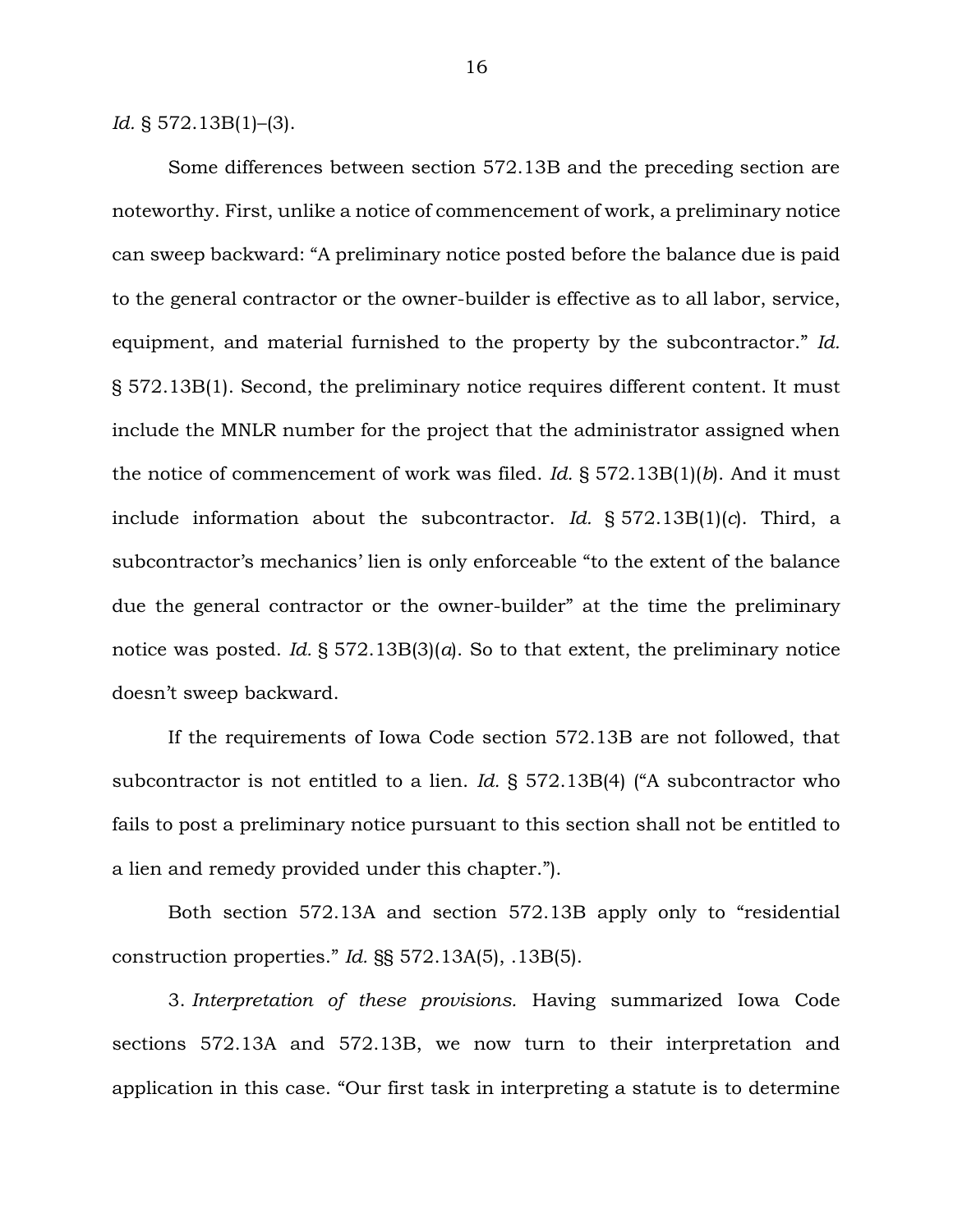*Id.* § 572.13B(1)–(3).

Some differences between section 572.13B and the preceding section are noteworthy. First, unlike a notice of commencement of work, a preliminary notice can sweep backward: "A preliminary notice posted before the balance due is paid to the general contractor or the owner-builder is effective as to all labor, service, equipment, and material furnished to the property by the subcontractor." *Id.* § 572.13B(1). Second, the preliminary notice requires different content. It must include the MNLR number for the project that the administrator assigned when the notice of commencement of work was filed. *Id.* § 572.13B(1)(*b*). And it must include information about the subcontractor. *Id.* § 572.13B(1)(*c*). Third, a subcontractor's mechanics' lien is only enforceable "to the extent of the balance due the general contractor or the owner-builder" at the time the preliminary notice was posted. *Id.* § 572.13B(3)(*a*). So to that extent, the preliminary notice doesn't sweep backward.

If the requirements of Iowa Code section 572.13B are not followed, that subcontractor is not entitled to a lien. *Id.* § 572.13B(4) ("A subcontractor who fails to post a preliminary notice pursuant to this section shall not be entitled to a lien and remedy provided under this chapter.").

Both section 572.13A and section 572.13B apply only to "residential construction properties." *Id.* §§ 572.13A(5), .13B(5).

3. *Interpretation of these provisions.* Having summarized Iowa Code sections 572.13A and 572.13B, we now turn to their interpretation and application in this case. "Our first task in interpreting a statute is to determine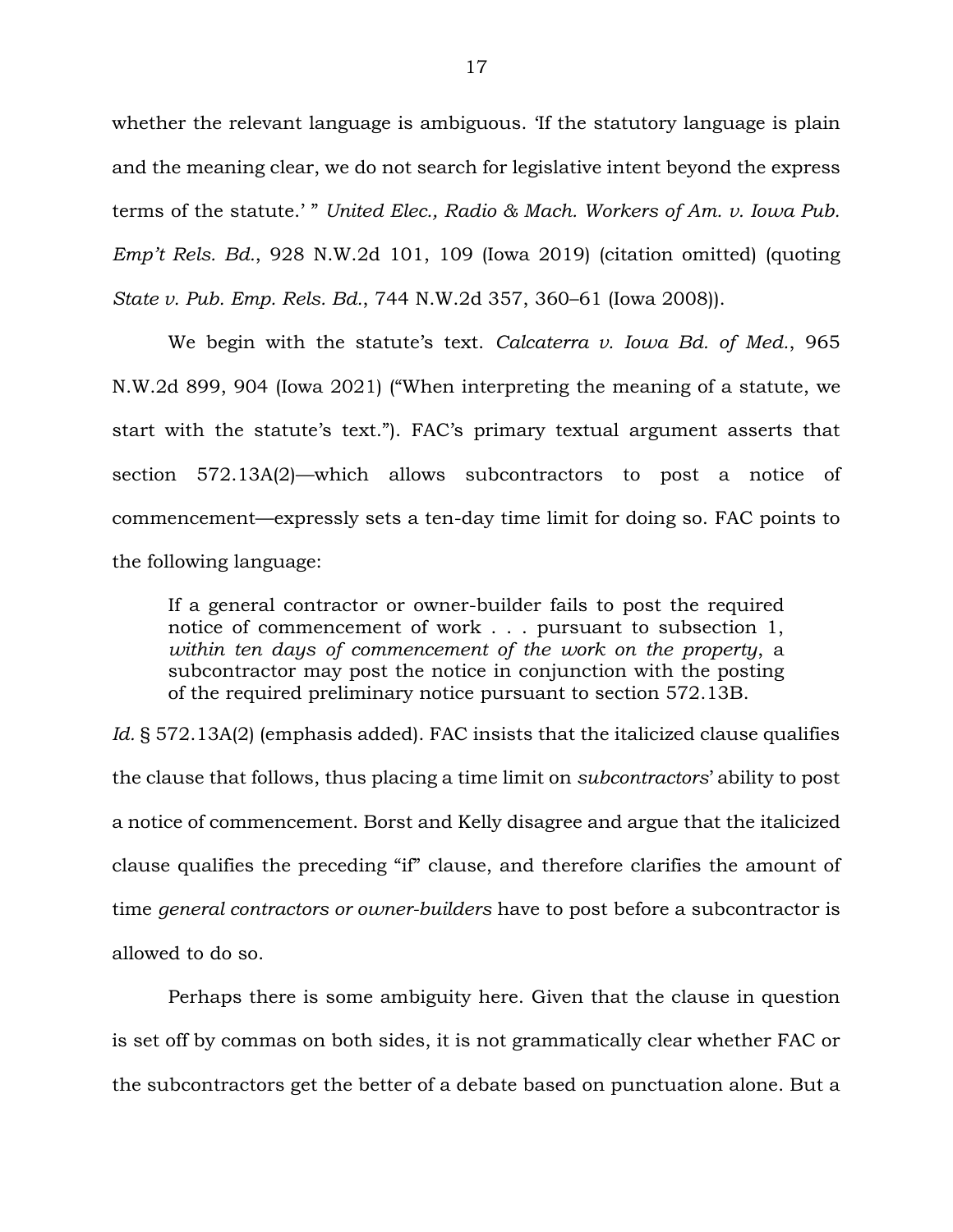whether the relevant language is ambiguous. 'If the statutory language is plain and the meaning clear, we do not search for legislative intent beyond the express terms of the statute.' " *United Elec., Radio & Mach. Workers of Am. v. Iowa Pub. Emp't Rels. Bd.*, 928 N.W.2d 101, 109 (Iowa 2019) (citation omitted) (quoting *State v. Pub. Emp. Rels. Bd.*, 744 N.W.2d 357, 360–61 (Iowa 2008)).

We begin with the statute's text. *Calcaterra v. Iowa Bd. of Med.*, 965 N.W.2d 899, 904 (Iowa 2021) ("When interpreting the meaning of a statute, we start with the statute's text."). FAC's primary textual argument asserts that section 572.13A(2)—which allows subcontractors to post a notice of commencement—expressly sets a ten-day time limit for doing so. FAC points to the following language:

If a general contractor or owner-builder fails to post the required notice of commencement of work . . . pursuant to subsection 1, *within ten days of commencement of the work on the property*, a subcontractor may post the notice in conjunction with the posting of the required preliminary notice pursuant to section 572.13B.

*Id.* § 572.13A(2) (emphasis added). FAC insists that the italicized clause qualifies the clause that follows, thus placing a time limit on *subcontractors*' ability to post a notice of commencement. Borst and Kelly disagree and argue that the italicized clause qualifies the preceding "if" clause, and therefore clarifies the amount of time *general contractors or owner-builders* have to post before a subcontractor is allowed to do so.

Perhaps there is some ambiguity here. Given that the clause in question is set off by commas on both sides, it is not grammatically clear whether FAC or the subcontractors get the better of a debate based on punctuation alone. But a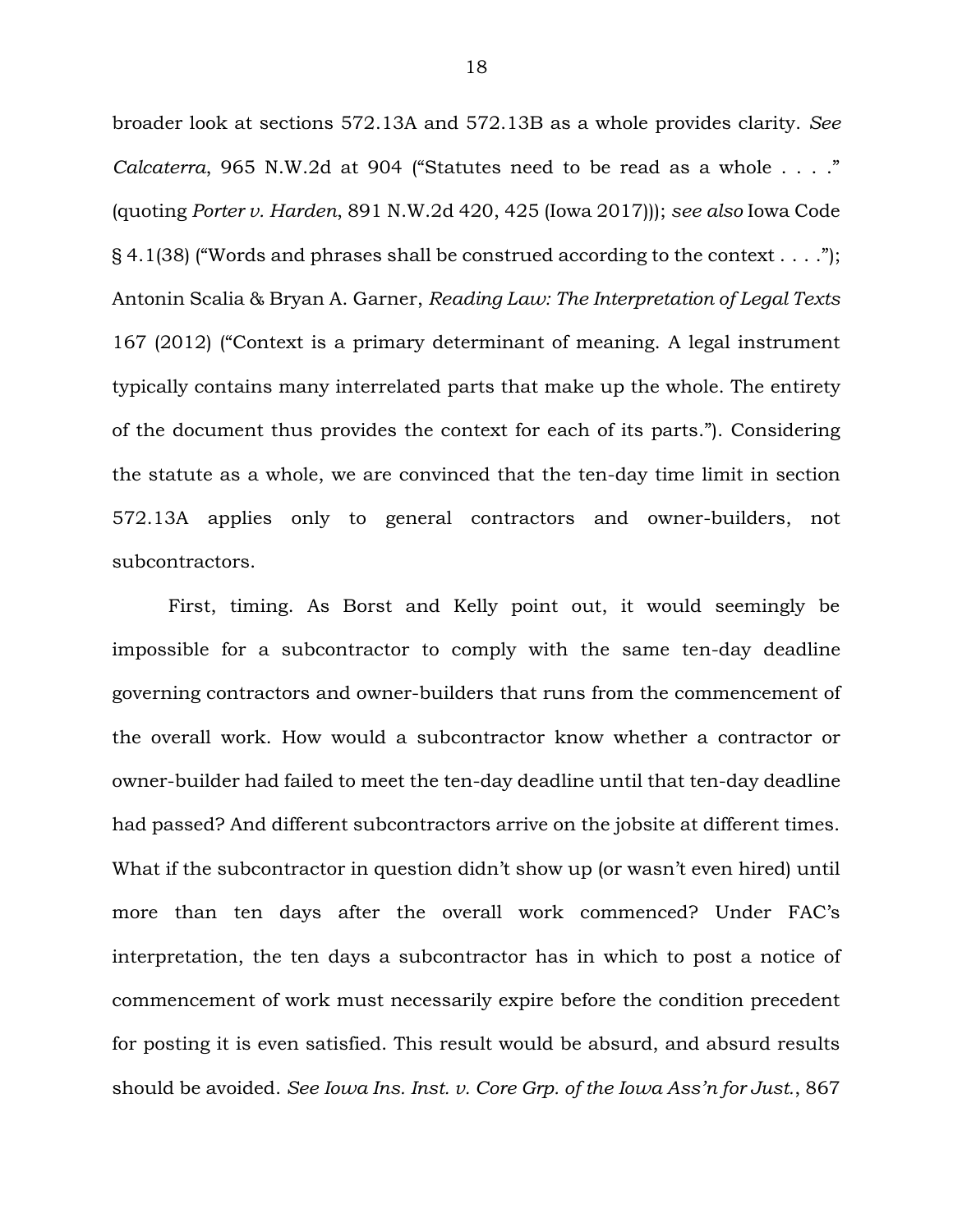broader look at sections 572.13A and 572.13B as a whole provides clarity. *See Calcaterra*, 965 N.W.2d at 904 ("Statutes need to be read as a whole . . . ." (quoting *Porter v. Harden*, 891 N.W.2d 420, 425 (Iowa 2017))); *see also* Iowa Code § 4.1(38) ("Words and phrases shall be construed according to the context . . . ."); Antonin Scalia & Bryan A. Garner, *Reading Law: The Interpretation of Legal Texts* 167 (2012) ("Context is a primary determinant of meaning. A legal instrument typically contains many interrelated parts that make up the whole. The entirety of the document thus provides the context for each of its parts."). Considering the statute as a whole, we are convinced that the ten-day time limit in section 572.13A applies only to general contractors and owner-builders, not subcontractors.

First, timing. As Borst and Kelly point out, it would seemingly be impossible for a subcontractor to comply with the same ten-day deadline governing contractors and owner-builders that runs from the commencement of the overall work. How would a subcontractor know whether a contractor or owner-builder had failed to meet the ten-day deadline until that ten-day deadline had passed? And different subcontractors arrive on the jobsite at different times. What if the subcontractor in question didn't show up (or wasn't even hired) until more than ten days after the overall work commenced? Under FAC's interpretation, the ten days a subcontractor has in which to post a notice of commencement of work must necessarily expire before the condition precedent for posting it is even satisfied. This result would be absurd, and absurd results should be avoided. *See Iowa Ins. Inst. v. Core Grp. of the Iowa Ass'n for Just.*, 867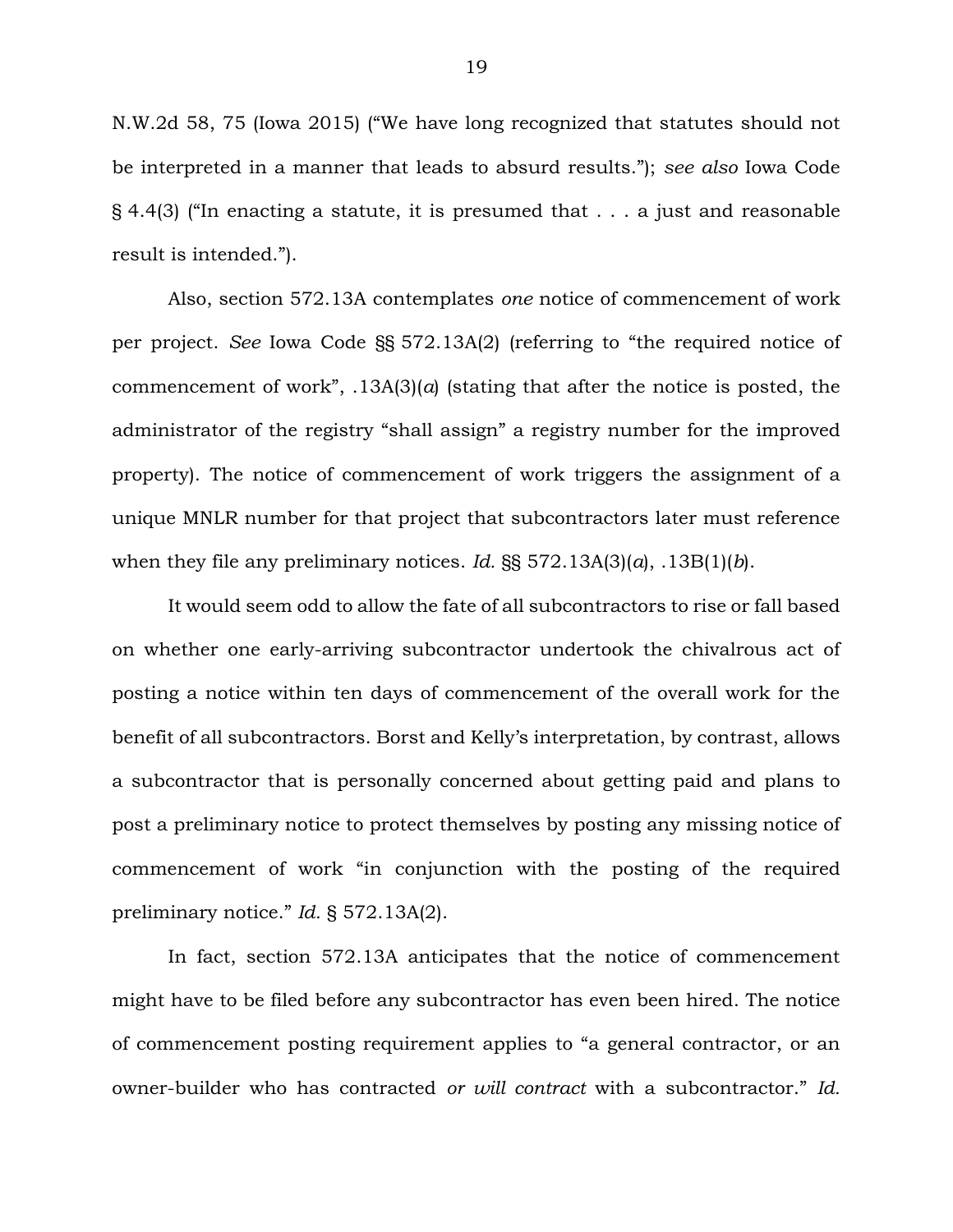N.W.2d 58, 75 (Iowa 2015) ("We have long recognized that statutes should not be interpreted in a manner that leads to absurd results."); *see also* Iowa Code § 4.4(3) ("In enacting a statute, it is presumed that . . . a just and reasonable result is intended.").

Also, section 572.13A contemplates *one* notice of commencement of work per project. *See* Iowa Code §§ 572.13A(2) (referring to "the required notice of commencement of work", .13A(3)(*a*) (stating that after the notice is posted, the administrator of the registry "shall assign" a registry number for the improved property). The notice of commencement of work triggers the assignment of a unique MNLR number for that project that subcontractors later must reference when they file any preliminary notices. *Id.* §§ 572.13A(3)(*a*), .13B(1)(*b*).

It would seem odd to allow the fate of all subcontractors to rise or fall based on whether one early-arriving subcontractor undertook the chivalrous act of posting a notice within ten days of commencement of the overall work for the benefit of all subcontractors. Borst and Kelly's interpretation, by contrast, allows a subcontractor that is personally concerned about getting paid and plans to post a preliminary notice to protect themselves by posting any missing notice of commencement of work "in conjunction with the posting of the required preliminary notice." *Id.* § 572.13A(2).

In fact, section 572.13A anticipates that the notice of commencement might have to be filed before any subcontractor has even been hired. The notice of commencement posting requirement applies to "a general contractor, or an owner-builder who has contracted *or will contract* with a subcontractor." *Id.*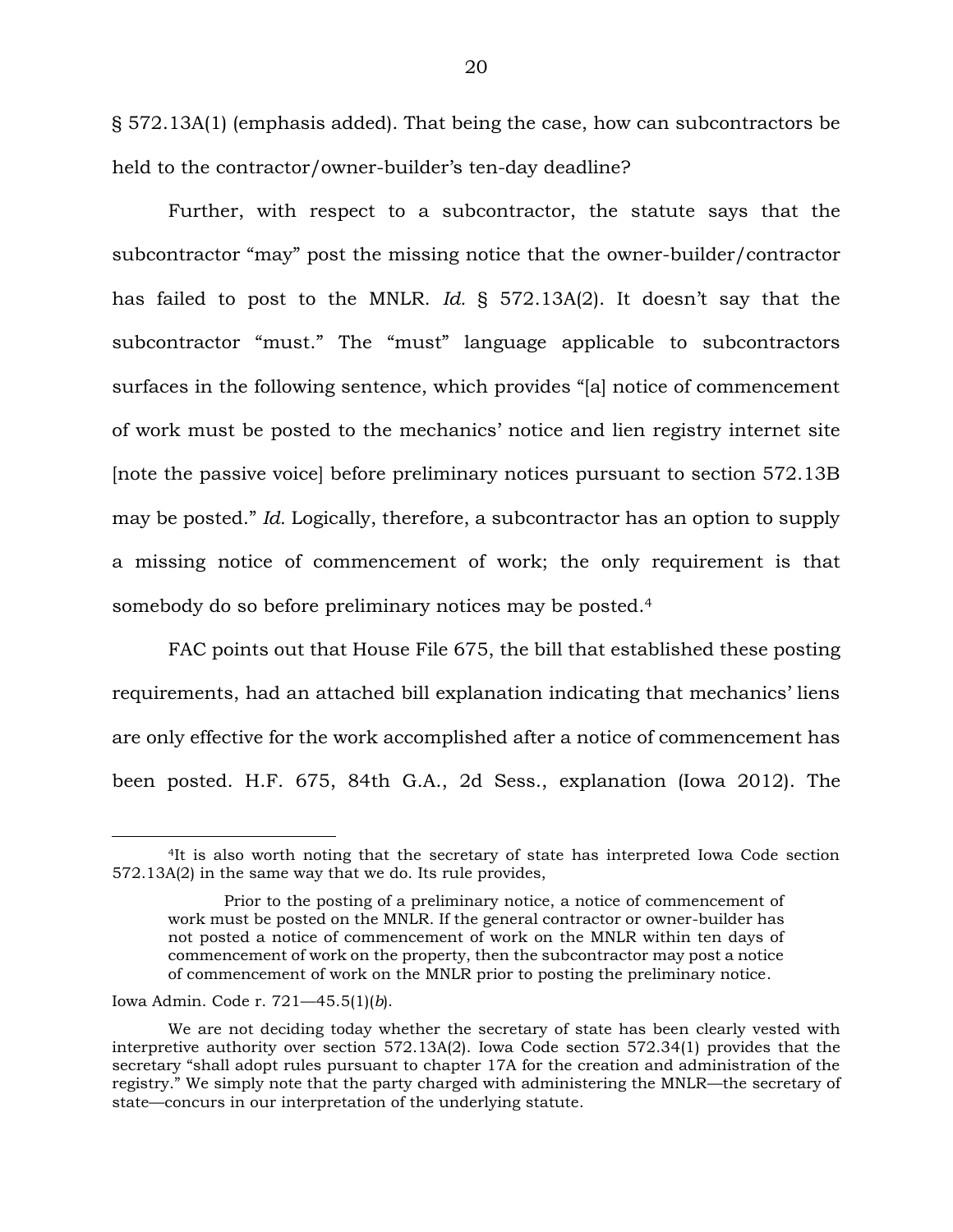§ 572.13A(1) (emphasis added). That being the case, how can subcontractors be held to the contractor/owner-builder's ten-day deadline?

Further, with respect to a subcontractor, the statute says that the subcontractor "may" post the missing notice that the owner-builder/contractor has failed to post to the MNLR. *Id.* § 572.13A(2). It doesn't say that the subcontractor "must." The "must" language applicable to subcontractors surfaces in the following sentence, which provides "[a] notice of commencement of work must be posted to the mechanics' notice and lien registry internet site [note the passive voice] before preliminary notices pursuant to section 572.13B may be posted." *Id.* Logically, therefore, a subcontractor has an option to supply a missing notice of commencement of work; the only requirement is that somebody do so before preliminary notices may be posted.<sup>4</sup>

FAC points out that House File 675, the bill that established these posting requirements, had an attached bill explanation indicating that mechanics' liens are only effective for the work accomplished after a notice of commencement has been posted. H.F. 675, 84th G.A., 2d Sess., explanation (Iowa 2012). The

<sup>4</sup>It is also worth noting that the secretary of state has interpreted Iowa Code section 572.13A(2) in the same way that we do. Its rule provides,

Prior to the posting of a preliminary notice, a notice of commencement of work must be posted on the MNLR. If the general contractor or owner-builder has not posted a notice of commencement of work on the MNLR within ten days of commencement of work on the property, then the subcontractor may post a notice of commencement of work on the MNLR prior to posting the preliminary notice.

Iowa Admin. Code r. 721—45.5(1)(*b*).

We are not deciding today whether the secretary of state has been clearly vested with interpretive authority over section 572.13A(2). Iowa Code section 572.34(1) provides that the secretary "shall adopt rules pursuant to chapter 17A for the creation and administration of the registry." We simply note that the party charged with administering the MNLR—the secretary of state—concurs in our interpretation of the underlying statute.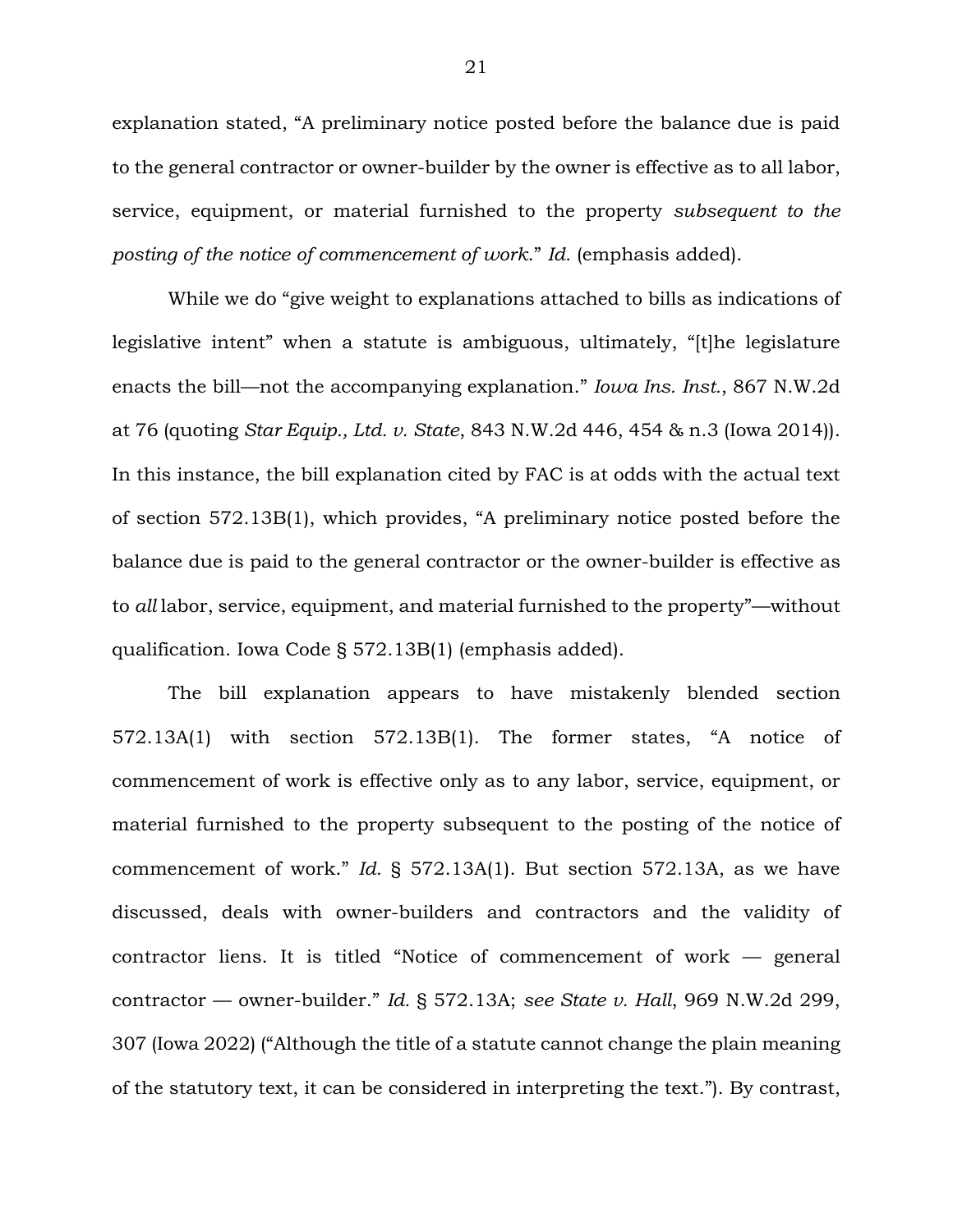explanation stated, "A preliminary notice posted before the balance due is paid to the general contractor or owner-builder by the owner is effective as to all labor, service, equipment, or material furnished to the property *subsequent to the posting of the notice of commencement of work*." *Id.* (emphasis added).

While we do "give weight to explanations attached to bills as indications of legislative intent" when a statute is ambiguous, ultimately, "[t]he legislature enacts the bill—not the accompanying explanation." *Iowa Ins. Inst.*, 867 N.W.2d at 76 (quoting *Star Equip., Ltd. v. State*, 843 N.W.2d 446, 454 & n.3 (Iowa 2014)). In this instance, the bill explanation cited by FAC is at odds with the actual text of section 572.13B(1), which provides, "A preliminary notice posted before the balance due is paid to the general contractor or the owner-builder is effective as to *all* labor, service, equipment, and material furnished to the property"—without qualification. Iowa Code § 572.13B(1) (emphasis added).

The bill explanation appears to have mistakenly blended section 572.13A(1) with section 572.13B(1). The former states, "A notice of commencement of work is effective only as to any labor, service, equipment, or material furnished to the property subsequent to the posting of the notice of commencement of work." *Id.* § 572.13A(1). But section 572.13A, as we have discussed, deals with owner-builders and contractors and the validity of contractor liens. It is titled "Notice of commencement of work — general contractor — owner-builder." *Id.* § 572.13A; *see State v. Hall*, 969 N.W.2d 299, 307 (Iowa 2022) ("Although the title of a statute cannot change the plain meaning of the statutory text, it can be considered in interpreting the text."). By contrast,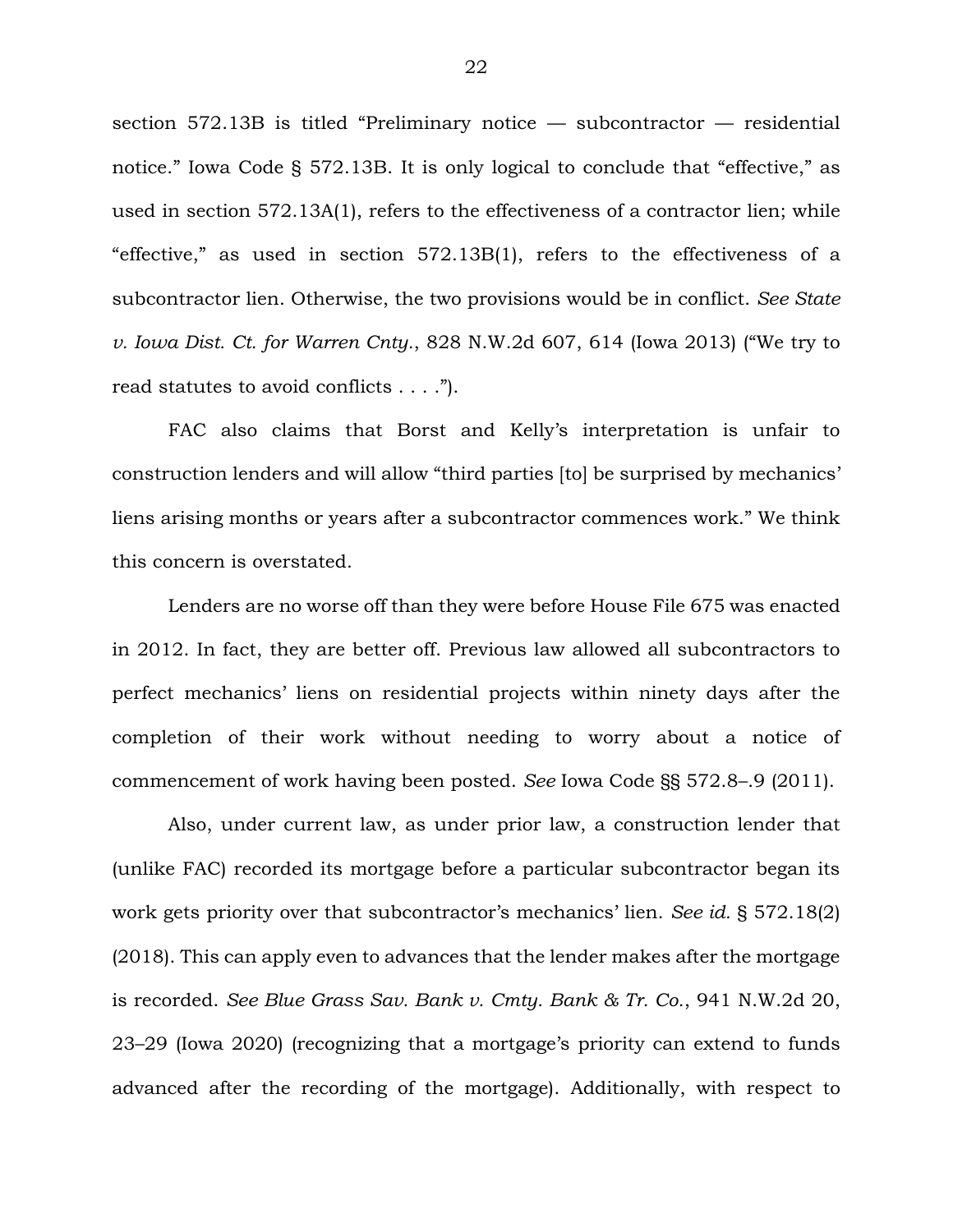section 572.13B is titled "Preliminary notice — subcontractor — residential notice." Iowa Code § 572.13B. It is only logical to conclude that "effective," as used in section 572.13A(1), refers to the effectiveness of a contractor lien; while "effective," as used in section 572.13B(1), refers to the effectiveness of a subcontractor lien. Otherwise, the two provisions would be in conflict. *See State v. Iowa Dist. Ct. for Warren Cnty.*, 828 N.W.2d 607, 614 (Iowa 2013) ("We try to read statutes to avoid conflicts . . . .").

FAC also claims that Borst and Kelly's interpretation is unfair to construction lenders and will allow "third parties [to] be surprised by mechanics' liens arising months or years after a subcontractor commences work." We think this concern is overstated.

Lenders are no worse off than they were before House File 675 was enacted in 2012. In fact, they are better off. Previous law allowed all subcontractors to perfect mechanics' liens on residential projects within ninety days after the completion of their work without needing to worry about a notice of commencement of work having been posted. *See* Iowa Code §§ 572.8–.9 (2011).

Also, under current law, as under prior law, a construction lender that (unlike FAC) recorded its mortgage before a particular subcontractor began its work gets priority over that subcontractor's mechanics' lien. *See id.* § 572.18(2) (2018). This can apply even to advances that the lender makes after the mortgage is recorded. *See Blue Grass Sav. Bank v. Cmty. Bank & Tr. Co.*, 941 N.W.2d 20, 23–29 (Iowa 2020) (recognizing that a mortgage's priority can extend to funds advanced after the recording of the mortgage). Additionally, with respect to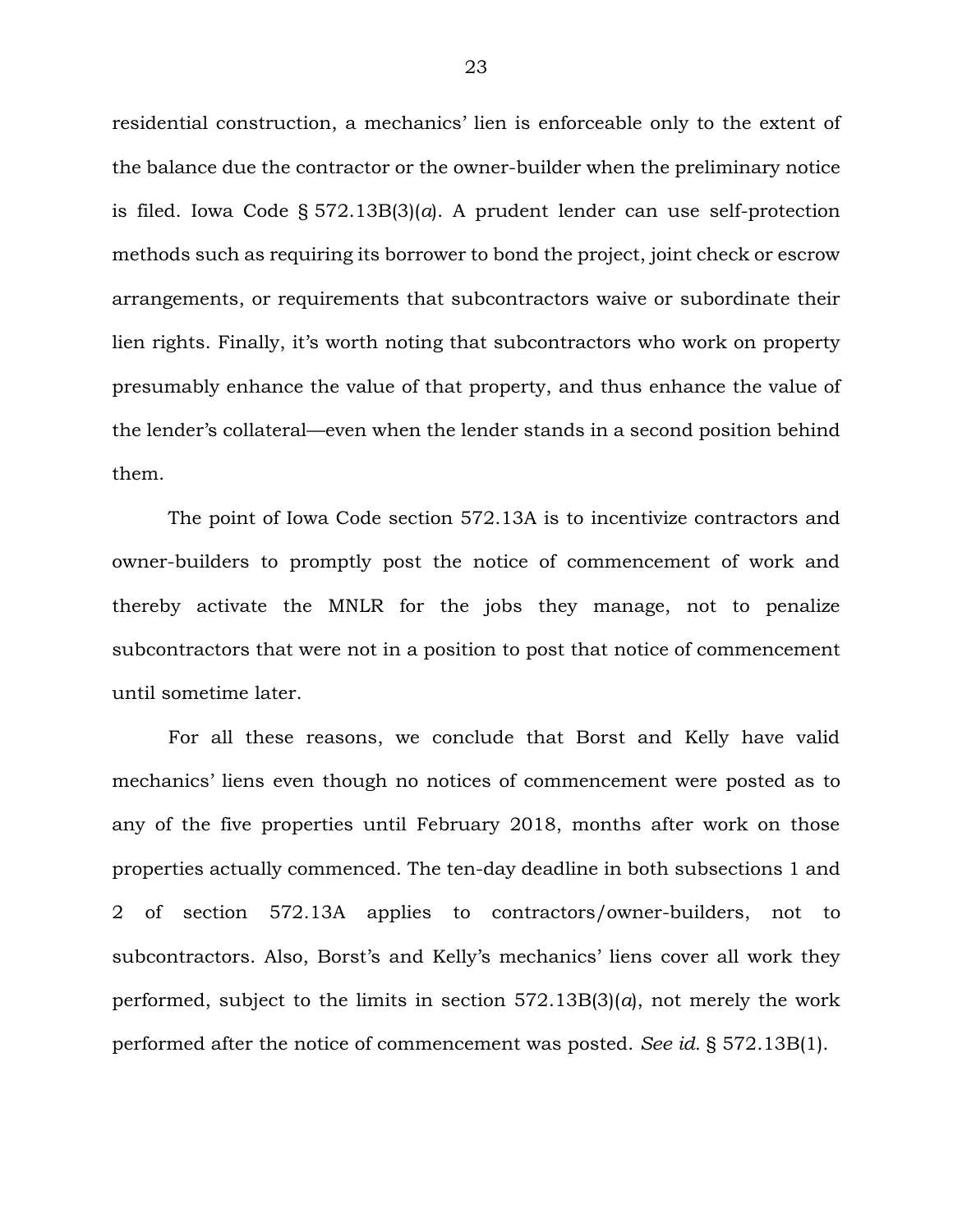residential construction, a mechanics' lien is enforceable only to the extent of the balance due the contractor or the owner-builder when the preliminary notice is filed. Iowa Code § 572.13B(3)(*a*). A prudent lender can use self-protection methods such as requiring its borrower to bond the project, joint check or escrow arrangements, or requirements that subcontractors waive or subordinate their lien rights. Finally, it's worth noting that subcontractors who work on property presumably enhance the value of that property, and thus enhance the value of the lender's collateral—even when the lender stands in a second position behind them.

The point of Iowa Code section 572.13A is to incentivize contractors and owner-builders to promptly post the notice of commencement of work and thereby activate the MNLR for the jobs they manage, not to penalize subcontractors that were not in a position to post that notice of commencement until sometime later.

For all these reasons, we conclude that Borst and Kelly have valid mechanics' liens even though no notices of commencement were posted as to any of the five properties until February 2018, months after work on those properties actually commenced. The ten-day deadline in both subsections 1 and 2 of section 572.13A applies to contractors/owner-builders, not to subcontractors. Also, Borst's and Kelly's mechanics' liens cover all work they performed, subject to the limits in section 572.13B(3)(*a*), not merely the work performed after the notice of commencement was posted. *See id.* § 572.13B(1).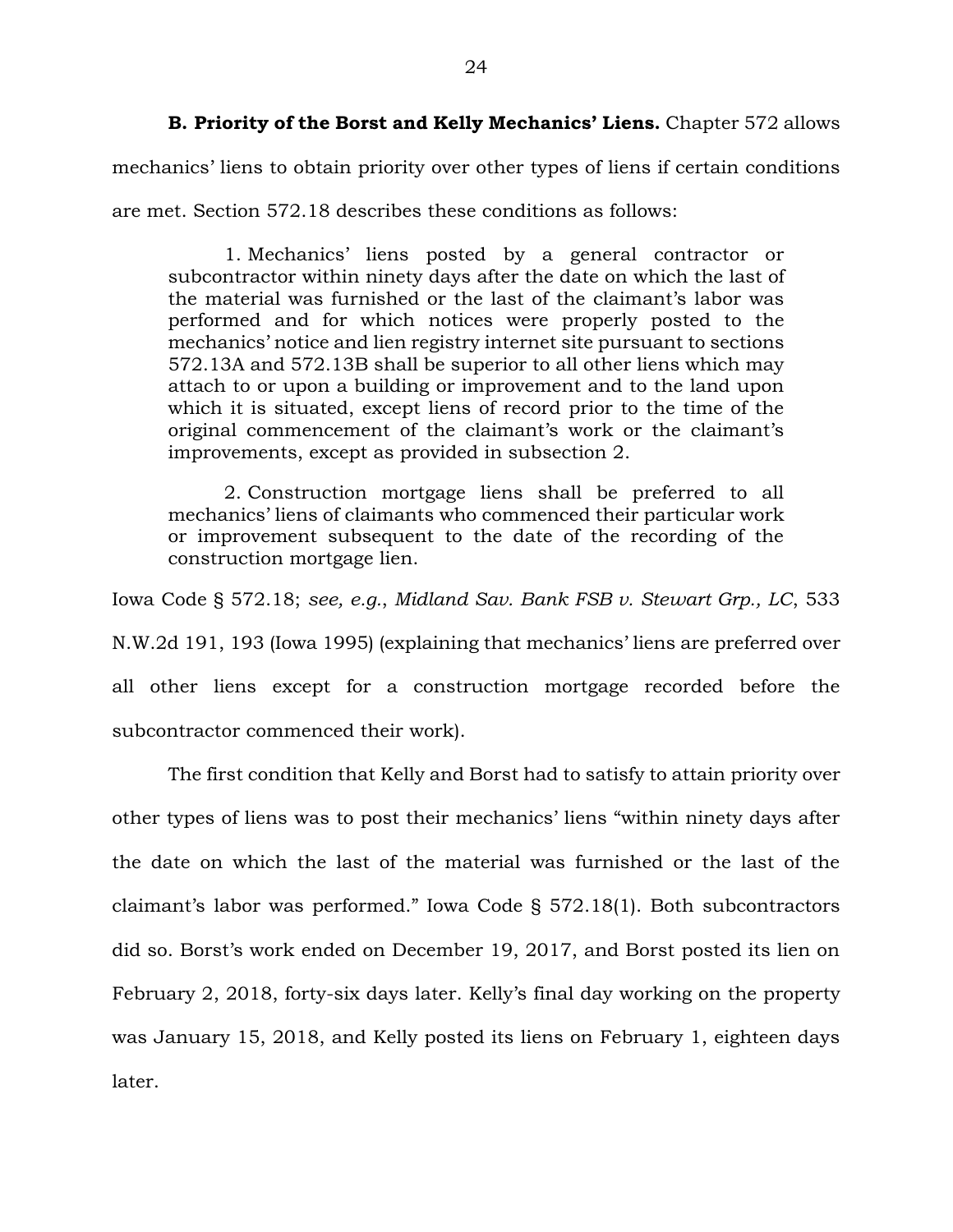**B. Priority of the Borst and Kelly Mechanics' Liens.** Chapter 572 allows

mechanics' liens to obtain priority over other types of liens if certain conditions are met. Section 572.18 describes these conditions as follows:

1. Mechanics' liens posted by a general contractor or subcontractor within ninety days after the date on which the last of the material was furnished or the last of the claimant's labor was performed and for which notices were properly posted to the mechanics' notice and lien registry internet site pursuant to sections 572.13A and 572.13B shall be superior to all other liens which may attach to or upon a building or improvement and to the land upon which it is situated, except liens of record prior to the time of the original commencement of the claimant's work or the claimant's improvements, except as provided in subsection 2.

2. Construction mortgage liens shall be preferred to all mechanics' liens of claimants who commenced their particular work or improvement subsequent to the date of the recording of the construction mortgage lien.

Iowa Code § 572.18; *see, e.g.*, *Midland Sav. Bank FSB v. Stewart Grp., LC*, 533 N.W.2d 191, 193 (Iowa 1995) (explaining that mechanics' liens are preferred over all other liens except for a construction mortgage recorded before the subcontractor commenced their work).

The first condition that Kelly and Borst had to satisfy to attain priority over other types of liens was to post their mechanics' liens "within ninety days after the date on which the last of the material was furnished or the last of the claimant's labor was performed." Iowa Code § 572.18(1). Both subcontractors did so. Borst's work ended on December 19, 2017, and Borst posted its lien on February 2, 2018, forty-six days later. Kelly's final day working on the property was January 15, 2018, and Kelly posted its liens on February 1, eighteen days later.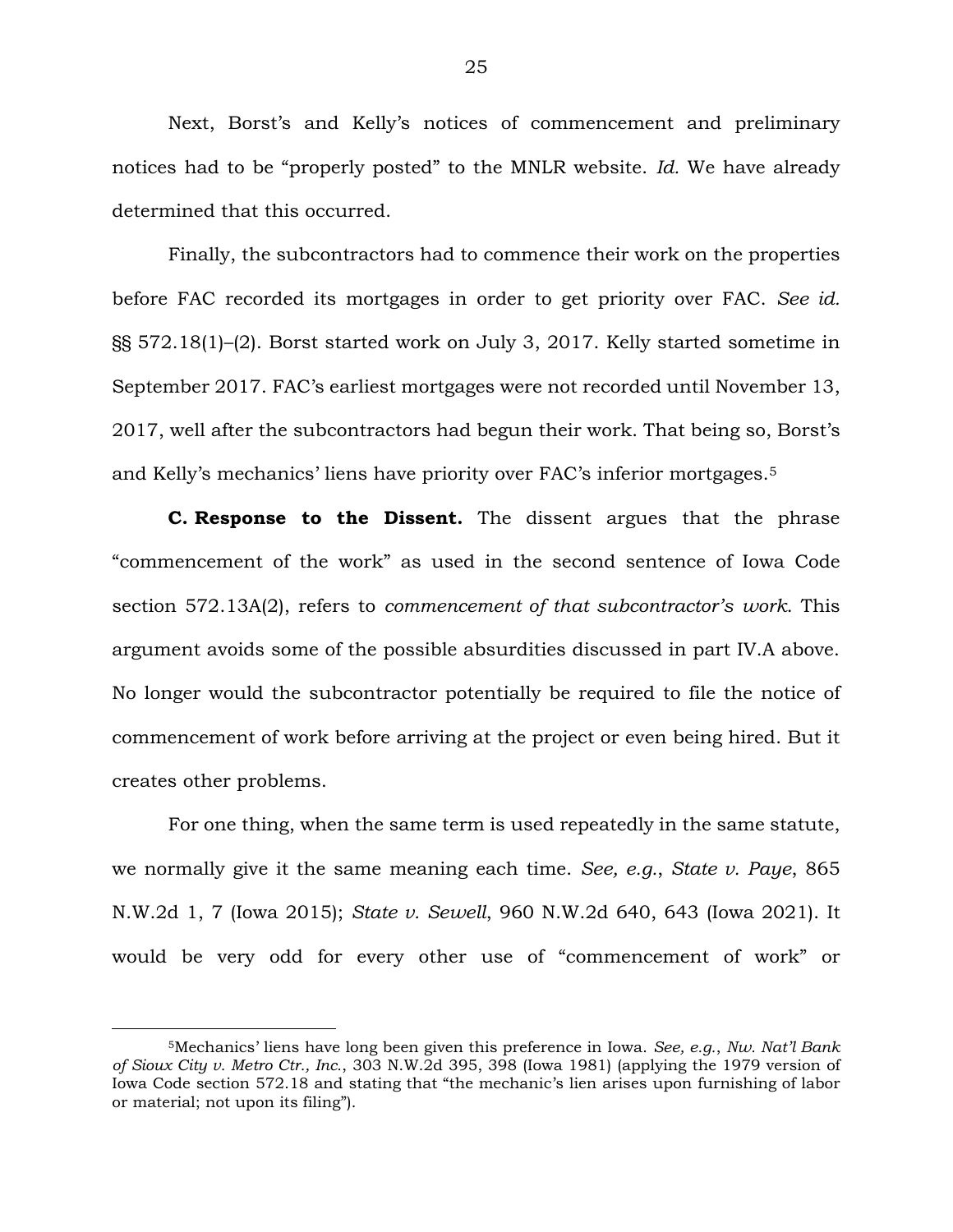Next, Borst's and Kelly's notices of commencement and preliminary notices had to be "properly posted" to the MNLR website. *Id.* We have already determined that this occurred.

Finally, the subcontractors had to commence their work on the properties before FAC recorded its mortgages in order to get priority over FAC. *See id.* §§ 572.18(1)–(2). Borst started work on July 3, 2017. Kelly started sometime in September 2017. FAC's earliest mortgages were not recorded until November 13, 2017, well after the subcontractors had begun their work. That being so, Borst's and Kelly's mechanics' liens have priority over FAC's inferior mortgages.<sup>5</sup>

**C. Response to the Dissent.** The dissent argues that the phrase "commencement of the work" as used in the second sentence of Iowa Code section 572.13A(2), refers to *commencement of that subcontractor's work*. This argument avoids some of the possible absurdities discussed in part IV.A above. No longer would the subcontractor potentially be required to file the notice of commencement of work before arriving at the project or even being hired. But it creates other problems.

For one thing, when the same term is used repeatedly in the same statute, we normally give it the same meaning each time. *See, e.g.*, *State v. Paye*, 865 N.W.2d 1, 7 (Iowa 2015); *State v. Sewell*, 960 N.W.2d 640, 643 (Iowa 2021). It would be very odd for every other use of "commencement of work" or

<sup>5</sup>Mechanics' liens have long been given this preference in Iowa. *See, e.g.*, *Nw. Nat'l Bank of Sioux City v. Metro Ctr., Inc.*, 303 N.W.2d 395, 398 (Iowa 1981) (applying the 1979 version of Iowa Code section 572.18 and stating that "the mechanic's lien arises upon furnishing of labor or material; not upon its filing").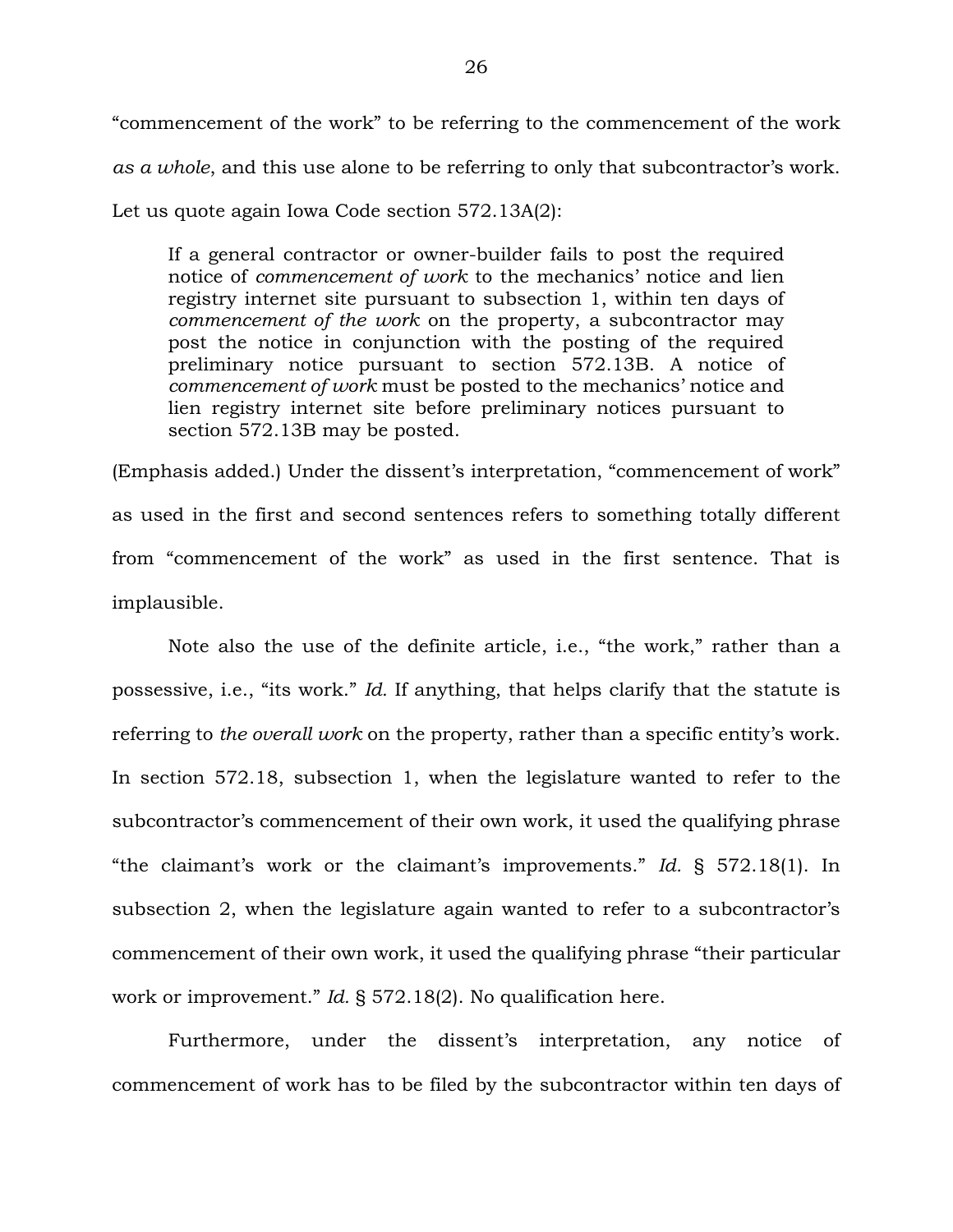"commencement of the work" to be referring to the commencement of the work *as a whole*, and this use alone to be referring to only that subcontractor's work. Let us quote again Iowa Code section 572.13A(2):

If a general contractor or owner-builder fails to post the required notice of *commencement of work* to the mechanics' notice and lien registry internet site pursuant to subsection 1, within ten days of *commencement of the work* on the property, a subcontractor may post the notice in conjunction with the posting of the required preliminary notice pursuant to section 572.13B. A notice of *commencement of work* must be posted to the mechanics' notice and lien registry internet site before preliminary notices pursuant to section 572.13B may be posted.

(Emphasis added.) Under the dissent's interpretation, "commencement of work" as used in the first and second sentences refers to something totally different from "commencement of the work" as used in the first sentence. That is implausible.

Note also the use of the definite article, i.e., "the work," rather than a possessive, i.e., "its work." *Id.* If anything, that helps clarify that the statute is referring to *the overall work* on the property, rather than a specific entity's work. In section 572.18, subsection 1, when the legislature wanted to refer to the subcontractor's commencement of their own work, it used the qualifying phrase "the claimant's work or the claimant's improvements." *Id.* § 572.18(1). In subsection 2, when the legislature again wanted to refer to a subcontractor's commencement of their own work, it used the qualifying phrase "their particular work or improvement." *Id.* § 572.18(2). No qualification here.

Furthermore, under the dissent's interpretation, any notice of commencement of work has to be filed by the subcontractor within ten days of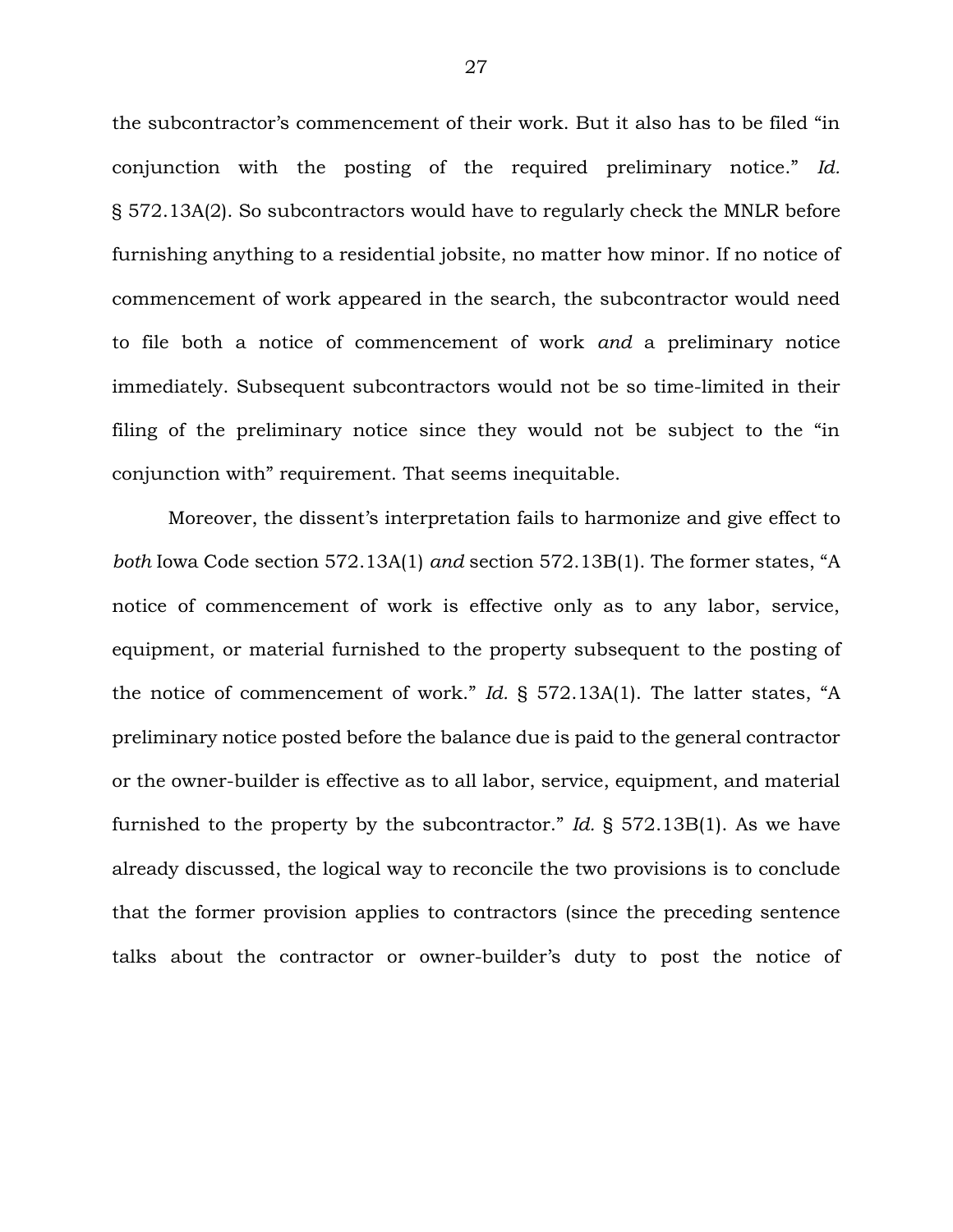the subcontractor's commencement of their work. But it also has to be filed "in conjunction with the posting of the required preliminary notice." *Id.* § 572.13A(2). So subcontractors would have to regularly check the MNLR before furnishing anything to a residential jobsite, no matter how minor. If no notice of commencement of work appeared in the search, the subcontractor would need to file both a notice of commencement of work *and* a preliminary notice immediately. Subsequent subcontractors would not be so time-limited in their filing of the preliminary notice since they would not be subject to the "in conjunction with" requirement. That seems inequitable.

Moreover, the dissent's interpretation fails to harmonize and give effect to *both* Iowa Code section 572.13A(1) *and* section 572.13B(1). The former states, "A notice of commencement of work is effective only as to any labor, service, equipment, or material furnished to the property subsequent to the posting of the notice of commencement of work." *Id.* § 572.13A(1). The latter states, "A preliminary notice posted before the balance due is paid to the general contractor or the owner-builder is effective as to all labor, service, equipment, and material furnished to the property by the subcontractor." *Id.* § 572.13B(1). As we have already discussed, the logical way to reconcile the two provisions is to conclude that the former provision applies to contractors (since the preceding sentence talks about the contractor or owner-builder's duty to post the notice of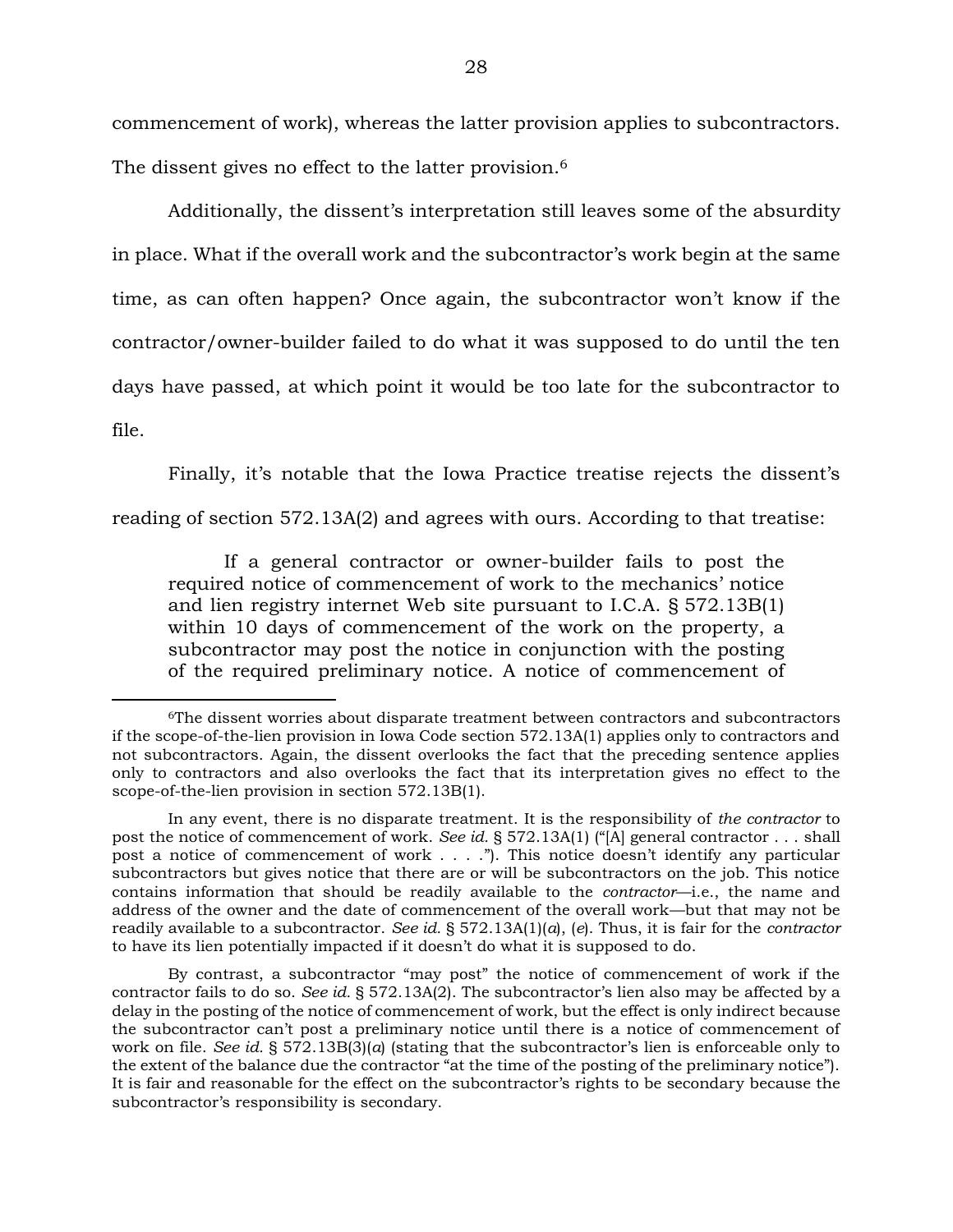commencement of work), whereas the latter provision applies to subcontractors. The dissent gives no effect to the latter provision.<sup>6</sup>

Additionally, the dissent's interpretation still leaves some of the absurdity in place. What if the overall work and the subcontractor's work begin at the same time, as can often happen? Once again, the subcontractor won't know if the contractor/owner-builder failed to do what it was supposed to do until the ten days have passed, at which point it would be too late for the subcontractor to file.

Finally, it's notable that the Iowa Practice treatise rejects the dissent's reading of section 572.13A(2) and agrees with ours. According to that treatise:

If a general contractor or owner-builder fails to post the required notice of commencement of work to the mechanics' notice and lien registry internet Web site pursuant to I.C.A. § 572.13B(1) within 10 days of commencement of the work on the property, a subcontractor may post the notice in conjunction with the posting of the required preliminary notice. A notice of commencement of

<sup>6</sup>The dissent worries about disparate treatment between contractors and subcontractors if the scope-of-the-lien provision in Iowa Code section 572.13A(1) applies only to contractors and not subcontractors. Again, the dissent overlooks the fact that the preceding sentence applies only to contractors and also overlooks the fact that its interpretation gives no effect to the scope-of-the-lien provision in section 572.13B(1).

In any event, there is no disparate treatment. It is the responsibility of *the contractor* to post the notice of commencement of work. *See id.* § 572.13A(1) ("[A] general contractor . . . shall post a notice of commencement of work . . . ."). This notice doesn't identify any particular subcontractors but gives notice that there are or will be subcontractors on the job. This notice contains information that should be readily available to the *contractor*—i.e., the name and address of the owner and the date of commencement of the overall work—but that may not be readily available to a subcontractor. *See id.* § 572.13A(1)(*a*), (*e*). Thus, it is fair for the *contractor* to have its lien potentially impacted if it doesn't do what it is supposed to do.

By contrast, a subcontractor "may post" the notice of commencement of work if the contractor fails to do so. *See id.* § 572.13A(2). The subcontractor's lien also may be affected by a delay in the posting of the notice of commencement of work, but the effect is only indirect because the subcontractor can't post a preliminary notice until there is a notice of commencement of work on file. *See id.* § 572.13B(3)(*a*) (stating that the subcontractor's lien is enforceable only to the extent of the balance due the contractor "at the time of the posting of the preliminary notice"). It is fair and reasonable for the effect on the subcontractor's rights to be secondary because the subcontractor's responsibility is secondary.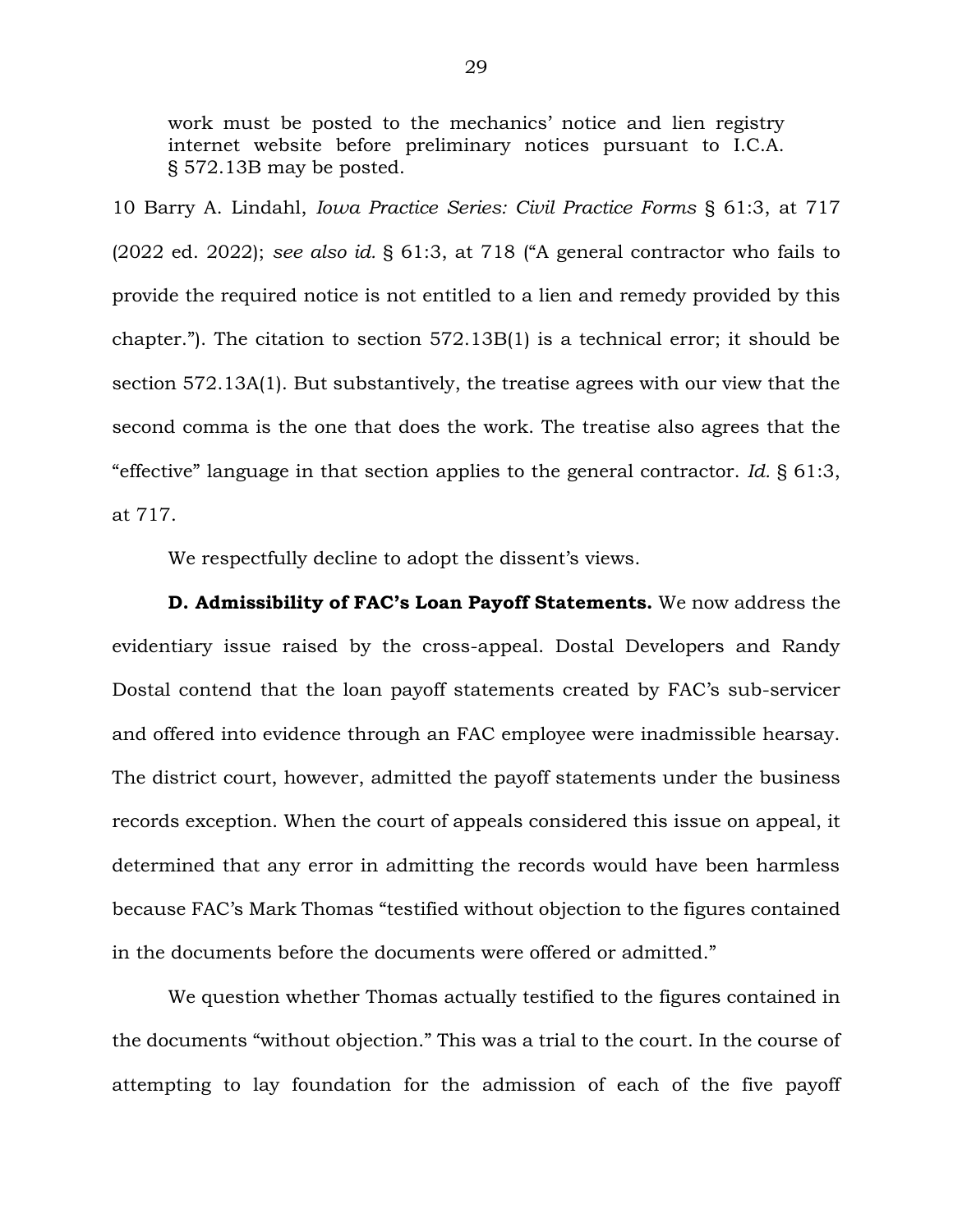work must be posted to the mechanics' notice and lien registry internet website before preliminary notices pursuant to I.C.A. § 572.13B may be posted.

10 Barry A. Lindahl, *Iowa Practice Series: Civil Practice Forms* § 61:3, at 717 (2022 ed. 2022); *see also id.* § 61:3, at 718 ("A general contractor who fails to provide the required notice is not entitled to a lien and remedy provided by this chapter."). The citation to section 572.13B(1) is a technical error; it should be section 572.13A(1). But substantively, the treatise agrees with our view that the second comma is the one that does the work. The treatise also agrees that the "effective" language in that section applies to the general contractor. *Id.* § 61:3, at 717.

We respectfully decline to adopt the dissent's views.

**D. Admissibility of FAC's Loan Payoff Statements.** We now address the evidentiary issue raised by the cross-appeal. Dostal Developers and Randy Dostal contend that the loan payoff statements created by FAC's sub-servicer and offered into evidence through an FAC employee were inadmissible hearsay. The district court, however, admitted the payoff statements under the business records exception. When the court of appeals considered this issue on appeal, it determined that any error in admitting the records would have been harmless because FAC's Mark Thomas "testified without objection to the figures contained in the documents before the documents were offered or admitted."

We question whether Thomas actually testified to the figures contained in the documents "without objection." This was a trial to the court. In the course of attempting to lay foundation for the admission of each of the five payoff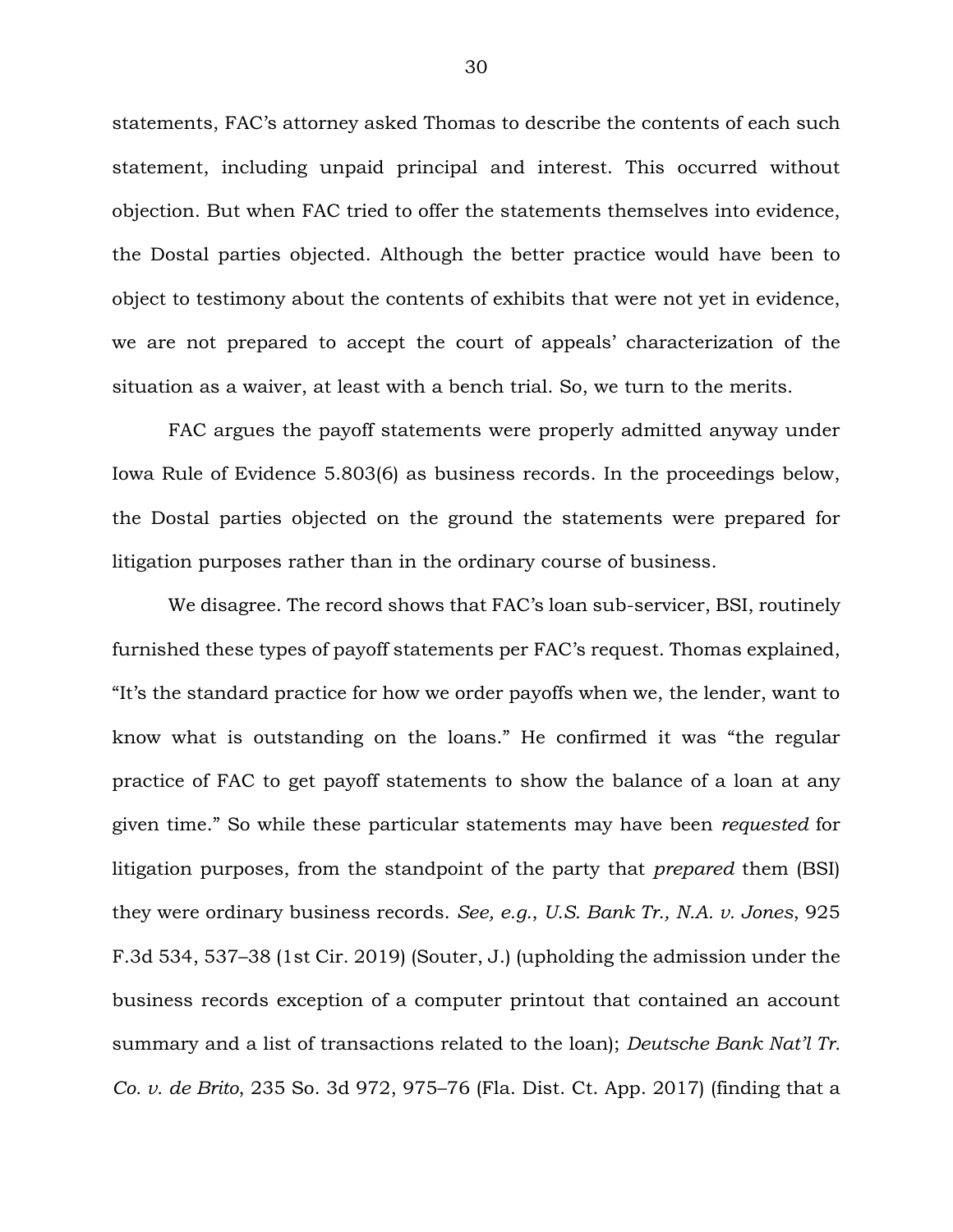statements, FAC's attorney asked Thomas to describe the contents of each such statement, including unpaid principal and interest. This occurred without objection. But when FAC tried to offer the statements themselves into evidence, the Dostal parties objected. Although the better practice would have been to object to testimony about the contents of exhibits that were not yet in evidence, we are not prepared to accept the court of appeals' characterization of the situation as a waiver, at least with a bench trial. So, we turn to the merits.

FAC argues the payoff statements were properly admitted anyway under Iowa Rule of Evidence 5.803(6) as business records. In the proceedings below, the Dostal parties objected on the ground the statements were prepared for litigation purposes rather than in the ordinary course of business.

We disagree. The record shows that FAC's loan sub-servicer, BSI, routinely furnished these types of payoff statements per FAC's request. Thomas explained, "It's the standard practice for how we order payoffs when we, the lender, want to know what is outstanding on the loans." He confirmed it was "the regular practice of FAC to get payoff statements to show the balance of a loan at any given time." So while these particular statements may have been *requested* for litigation purposes, from the standpoint of the party that *prepared* them (BSI) they were ordinary business records. *See, e.g.*, *U.S. Bank Tr., N.A. v. Jones*, 925 F.3d 534, 537–38 (1st Cir. 2019) (Souter, J.) (upholding the admission under the business records exception of a computer printout that contained an account summary and a list of transactions related to the loan); *Deutsche Bank Nat'l Tr. Co. v. de Brito*, 235 So. 3d 972, 975–76 (Fla. Dist. Ct. App. 2017) (finding that a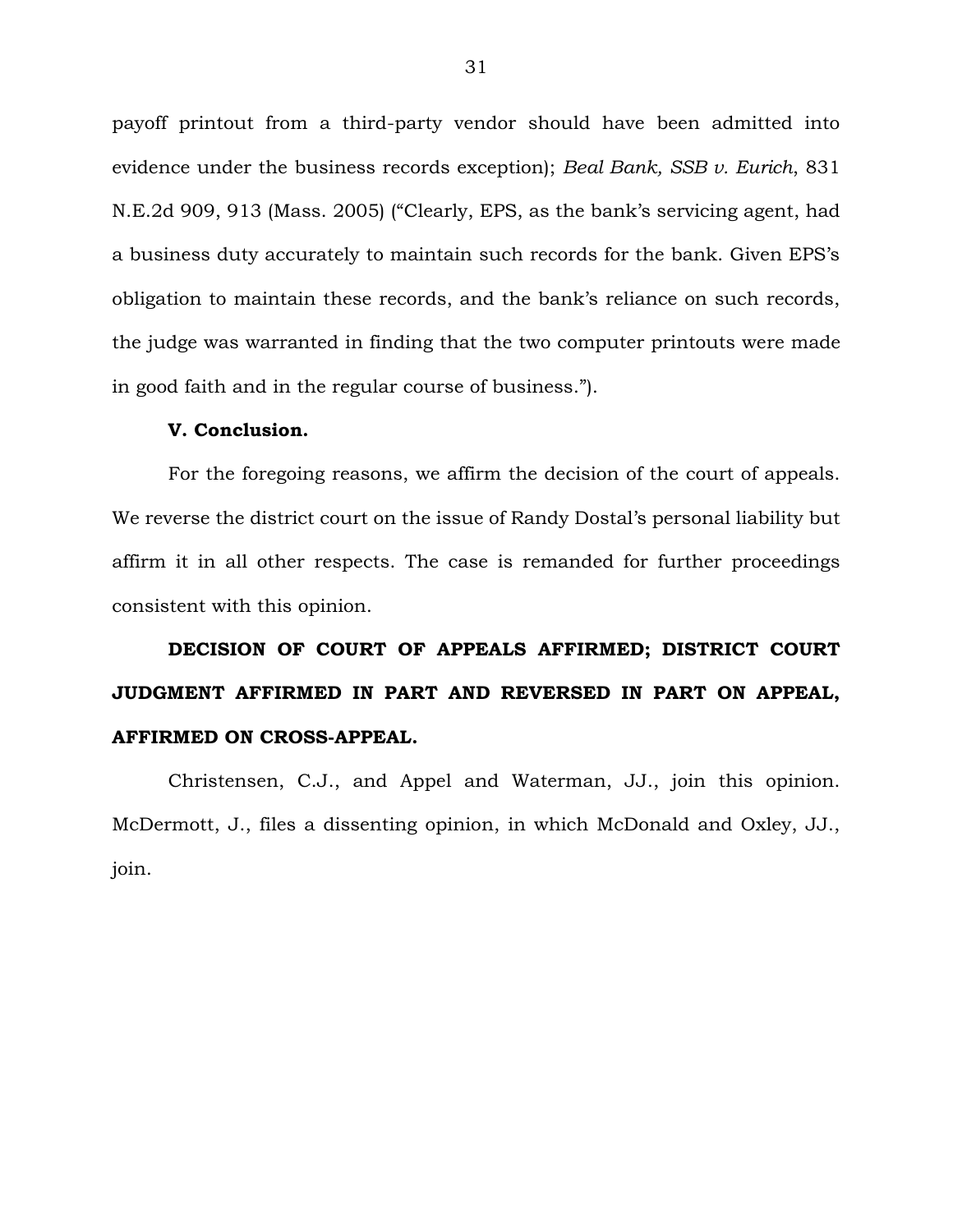payoff printout from a third-party vendor should have been admitted into evidence under the business records exception); *Beal Bank, SSB v. Eurich*, 831 N.E.2d 909, 913 (Mass. 2005) ("Clearly, EPS, as the bank's servicing agent, had a business duty accurately to maintain such records for the bank. Given EPS's obligation to maintain these records, and the bank's reliance on such records, the judge was warranted in finding that the two computer printouts were made in good faith and in the regular course of business.").

#### **V. Conclusion.**

For the foregoing reasons, we affirm the decision of the court of appeals. We reverse the district court on the issue of Randy Dostal's personal liability but affirm it in all other respects. The case is remanded for further proceedings consistent with this opinion.

# **DECISION OF COURT OF APPEALS AFFIRMED; DISTRICT COURT JUDGMENT AFFIRMED IN PART AND REVERSED IN PART ON APPEAL, AFFIRMED ON CROSS-APPEAL.**

Christensen, C.J., and Appel and Waterman, JJ., join this opinion. McDermott, J., files a dissenting opinion, in which McDonald and Oxley, JJ., join.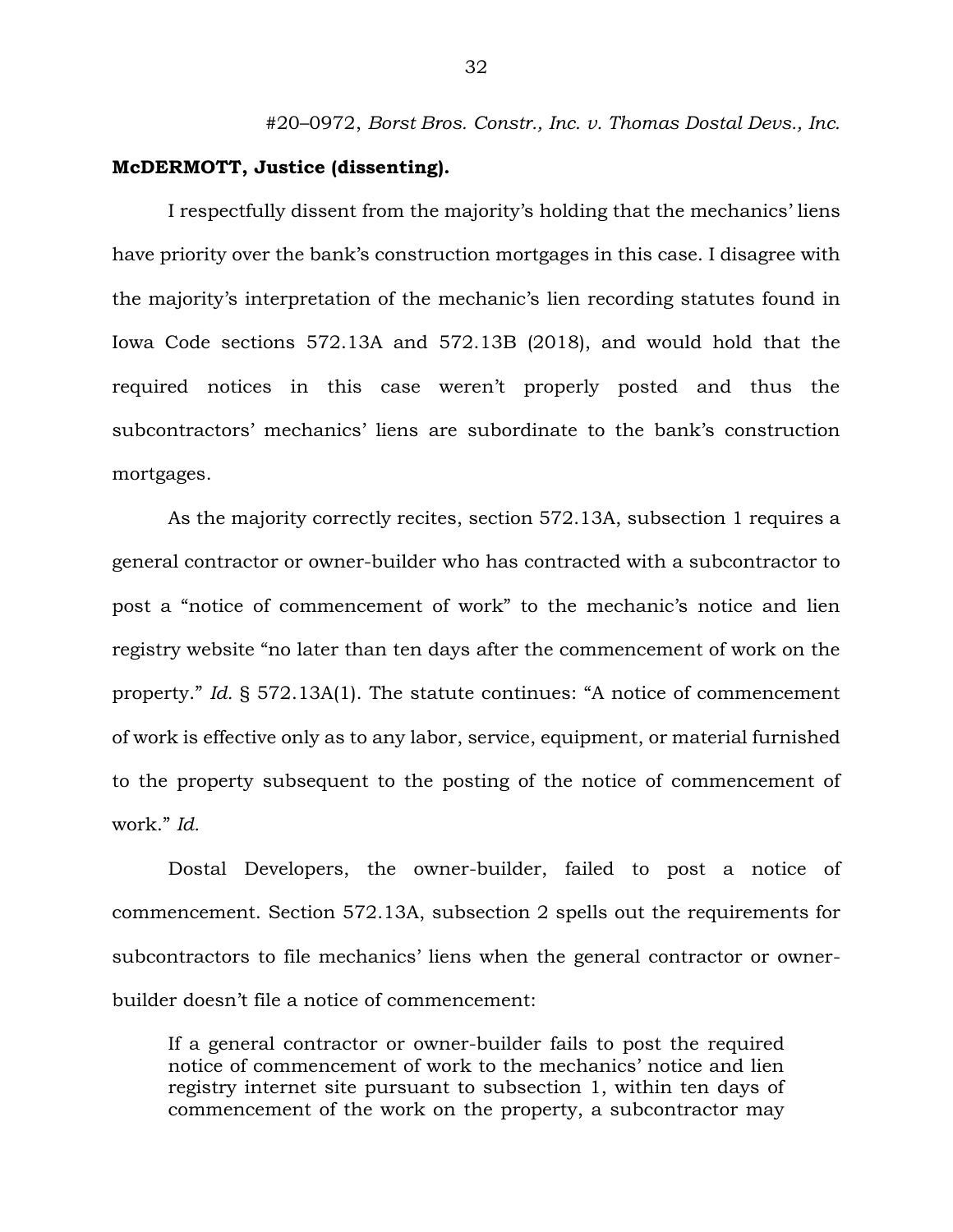#20–0972, *Borst Bros. Constr., Inc. v. Thomas Dostal Devs., Inc.*

#### **McDERMOTT, Justice (dissenting).**

I respectfully dissent from the majority's holding that the mechanics' liens have priority over the bank's construction mortgages in this case. I disagree with the majority's interpretation of the mechanic's lien recording statutes found in Iowa Code sections 572.13A and 572.13B (2018), and would hold that the required notices in this case weren't properly posted and thus the subcontractors' mechanics' liens are subordinate to the bank's construction mortgages.

As the majority correctly recites, section 572.13A, subsection 1 requires a general contractor or owner-builder who has contracted with a subcontractor to post a "notice of commencement of work" to the mechanic's notice and lien registry website "no later than ten days after the commencement of work on the property." *Id.* § 572.13A(1). The statute continues: "A notice of commencement of work is effective only as to any labor, service, equipment, or material furnished to the property subsequent to the posting of the notice of commencement of work." *Id.* 

Dostal Developers, the owner-builder, failed to post a notice of commencement. Section 572.13A, subsection 2 spells out the requirements for subcontractors to file mechanics' liens when the general contractor or ownerbuilder doesn't file a notice of commencement:

If a general contractor or owner-builder fails to post the required notice of commencement of work to the mechanics' notice and lien registry internet site pursuant to subsection 1, within ten days of commencement of the work on the property, a subcontractor may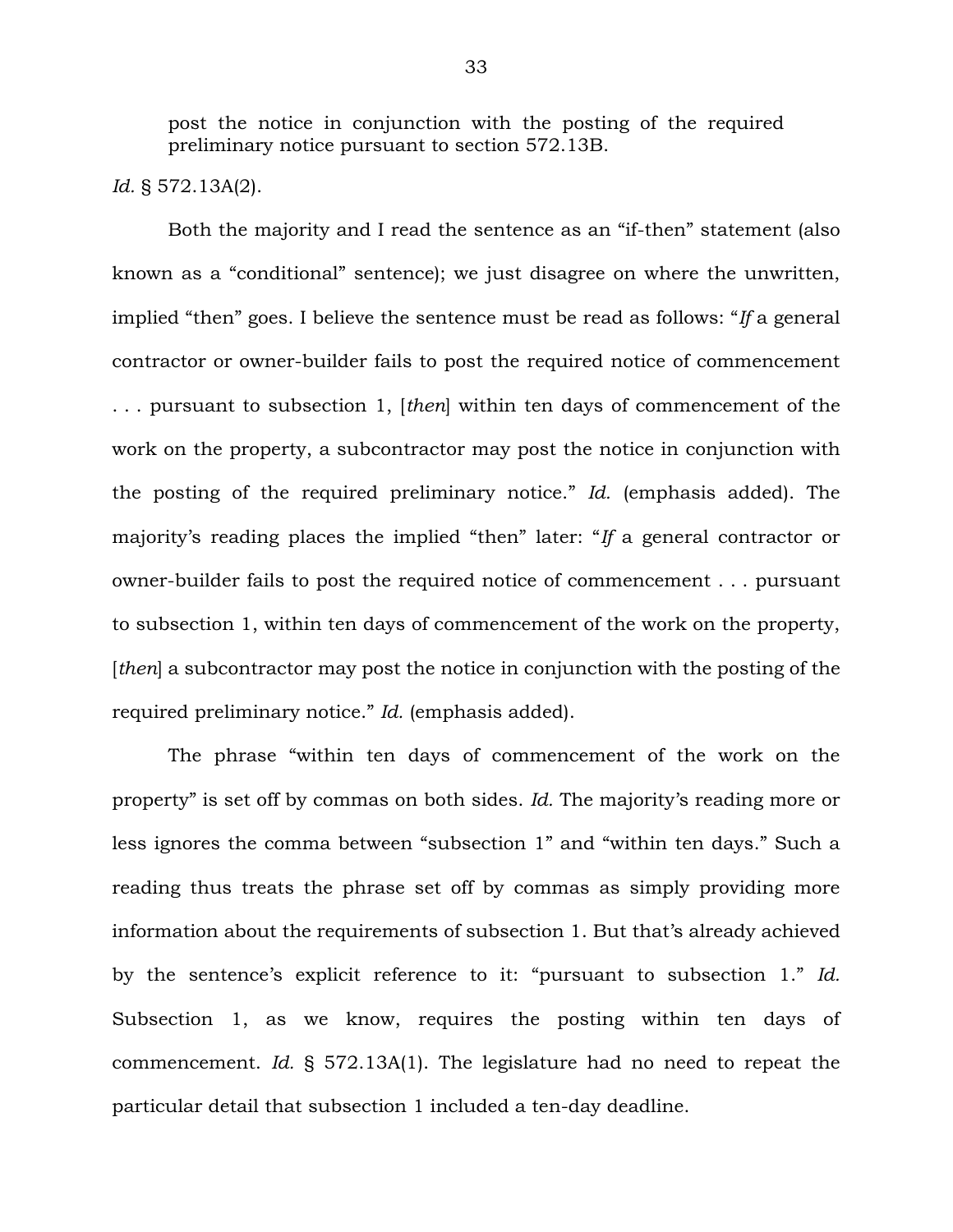post the notice in conjunction with the posting of the required preliminary notice pursuant to section 572.13B.

*Id.* § 572.13A(2).

Both the majority and I read the sentence as an "if-then" statement (also known as a "conditional" sentence); we just disagree on where the unwritten, implied "then" goes. I believe the sentence must be read as follows: "*If* a general contractor or owner-builder fails to post the required notice of commencement . . . pursuant to subsection 1, [*then*] within ten days of commencement of the work on the property, a subcontractor may post the notice in conjunction with the posting of the required preliminary notice." *Id.* (emphasis added). The majority's reading places the implied "then" later: "*If* a general contractor or owner-builder fails to post the required notice of commencement . . . pursuant to subsection 1, within ten days of commencement of the work on the property, [*then*] a subcontractor may post the notice in conjunction with the posting of the required preliminary notice." *Id.* (emphasis added).

The phrase "within ten days of commencement of the work on the property" is set off by commas on both sides. *Id.* The majority's reading more or less ignores the comma between "subsection 1" and "within ten days." Such a reading thus treats the phrase set off by commas as simply providing more information about the requirements of subsection 1. But that's already achieved by the sentence's explicit reference to it: "pursuant to subsection 1." *Id.* Subsection 1, as we know, requires the posting within ten days of commencement. *Id.* § 572.13A(1). The legislature had no need to repeat the particular detail that subsection 1 included a ten-day deadline.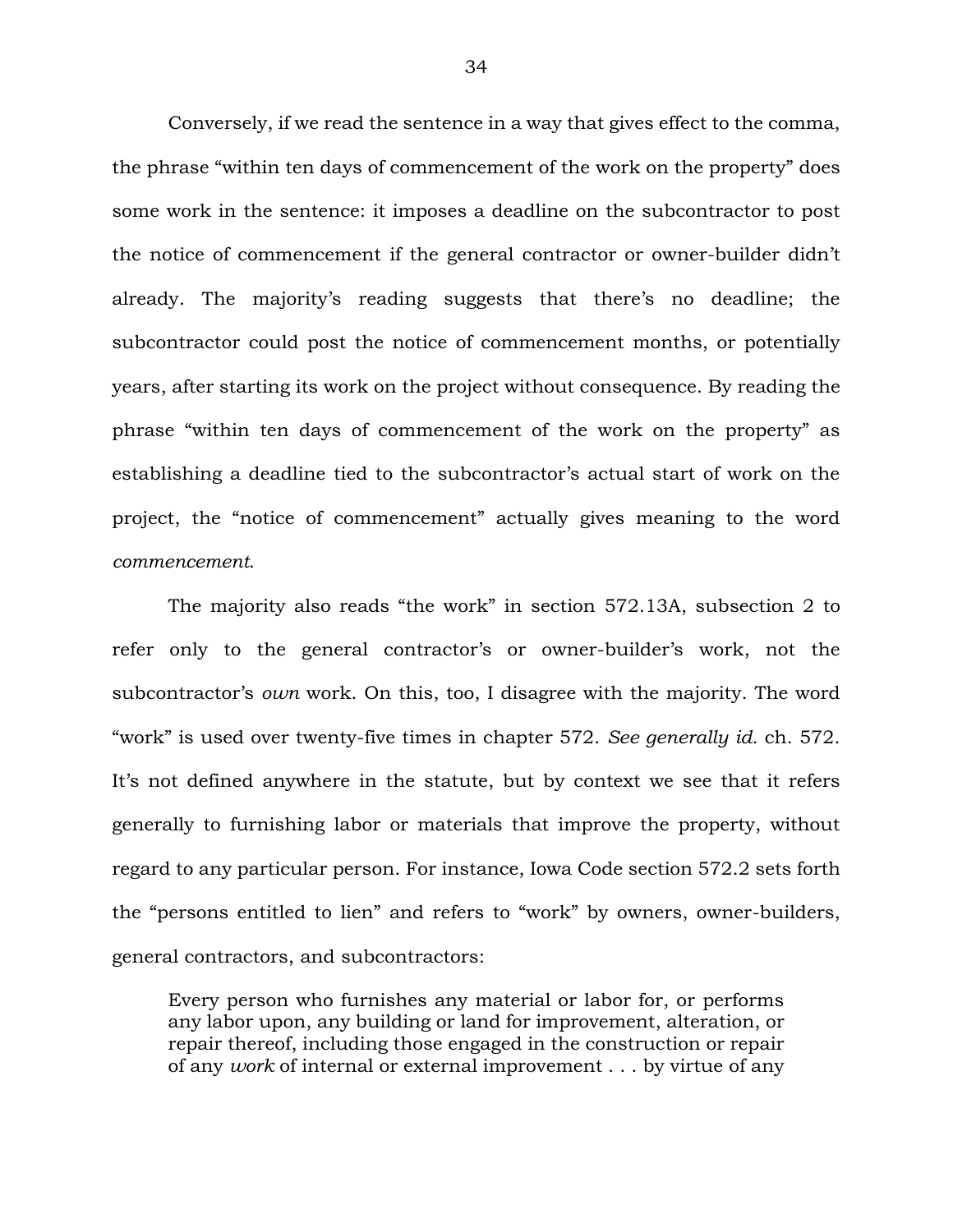Conversely, if we read the sentence in a way that gives effect to the comma, the phrase "within ten days of commencement of the work on the property" does some work in the sentence: it imposes a deadline on the subcontractor to post the notice of commencement if the general contractor or owner-builder didn't already. The majority's reading suggests that there's no deadline; the subcontractor could post the notice of commencement months, or potentially years, after starting its work on the project without consequence. By reading the phrase "within ten days of commencement of the work on the property" as establishing a deadline tied to the subcontractor's actual start of work on the project, the "notice of commencement" actually gives meaning to the word *commencement*.

The majority also reads "the work" in section 572.13A, subsection 2 to refer only to the general contractor's or owner-builder's work, not the subcontractor's *own* work. On this, too, I disagree with the majority. The word "work" is used over twenty-five times in chapter 572. *See generally id.* ch. 572. It's not defined anywhere in the statute, but by context we see that it refers generally to furnishing labor or materials that improve the property, without regard to any particular person. For instance, Iowa Code section 572.2 sets forth the "persons entitled to lien" and refers to "work" by owners, owner-builders, general contractors, and subcontractors:

Every person who furnishes any material or labor for, or performs any labor upon, any building or land for improvement, alteration, or repair thereof, including those engaged in the construction or repair of any *work* of internal or external improvement . . . by virtue of any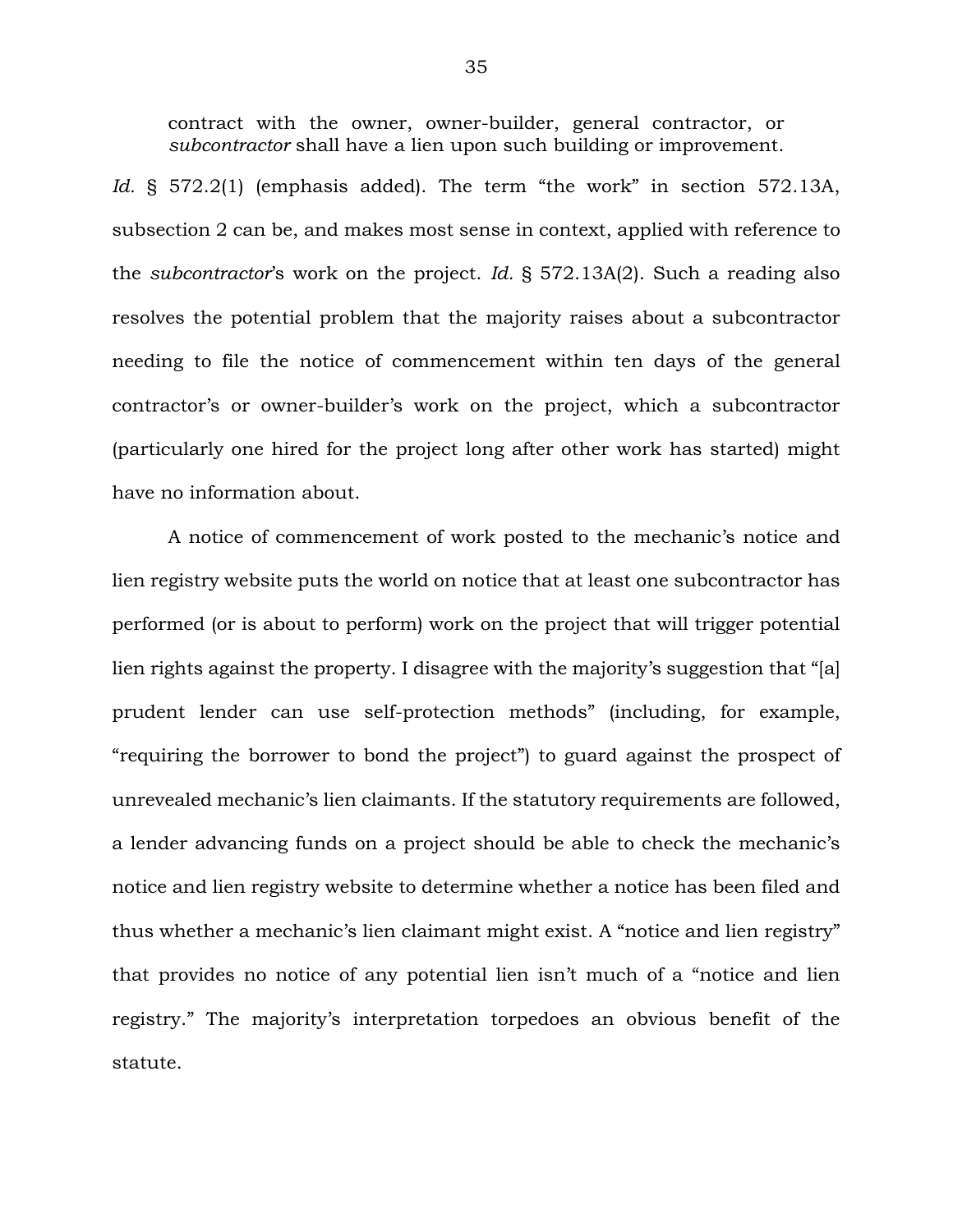contract with the owner, owner-builder, general contractor, or *subcontractor* shall have a lien upon such building or improvement.

Id. § 572.2(1) (emphasis added). The term "the work" in section 572.13A, subsection 2 can be, and makes most sense in context, applied with reference to the *subcontractor*'s work on the project. *Id.* § 572.13A(2). Such a reading also resolves the potential problem that the majority raises about a subcontractor needing to file the notice of commencement within ten days of the general contractor's or owner-builder's work on the project, which a subcontractor (particularly one hired for the project long after other work has started) might have no information about.

A notice of commencement of work posted to the mechanic's notice and lien registry website puts the world on notice that at least one subcontractor has performed (or is about to perform) work on the project that will trigger potential lien rights against the property. I disagree with the majority's suggestion that "[a] prudent lender can use self-protection methods" (including, for example, "requiring the borrower to bond the project") to guard against the prospect of unrevealed mechanic's lien claimants. If the statutory requirements are followed, a lender advancing funds on a project should be able to check the mechanic's notice and lien registry website to determine whether a notice has been filed and thus whether a mechanic's lien claimant might exist. A "notice and lien registry" that provides no notice of any potential lien isn't much of a "notice and lien registry." The majority's interpretation torpedoes an obvious benefit of the statute.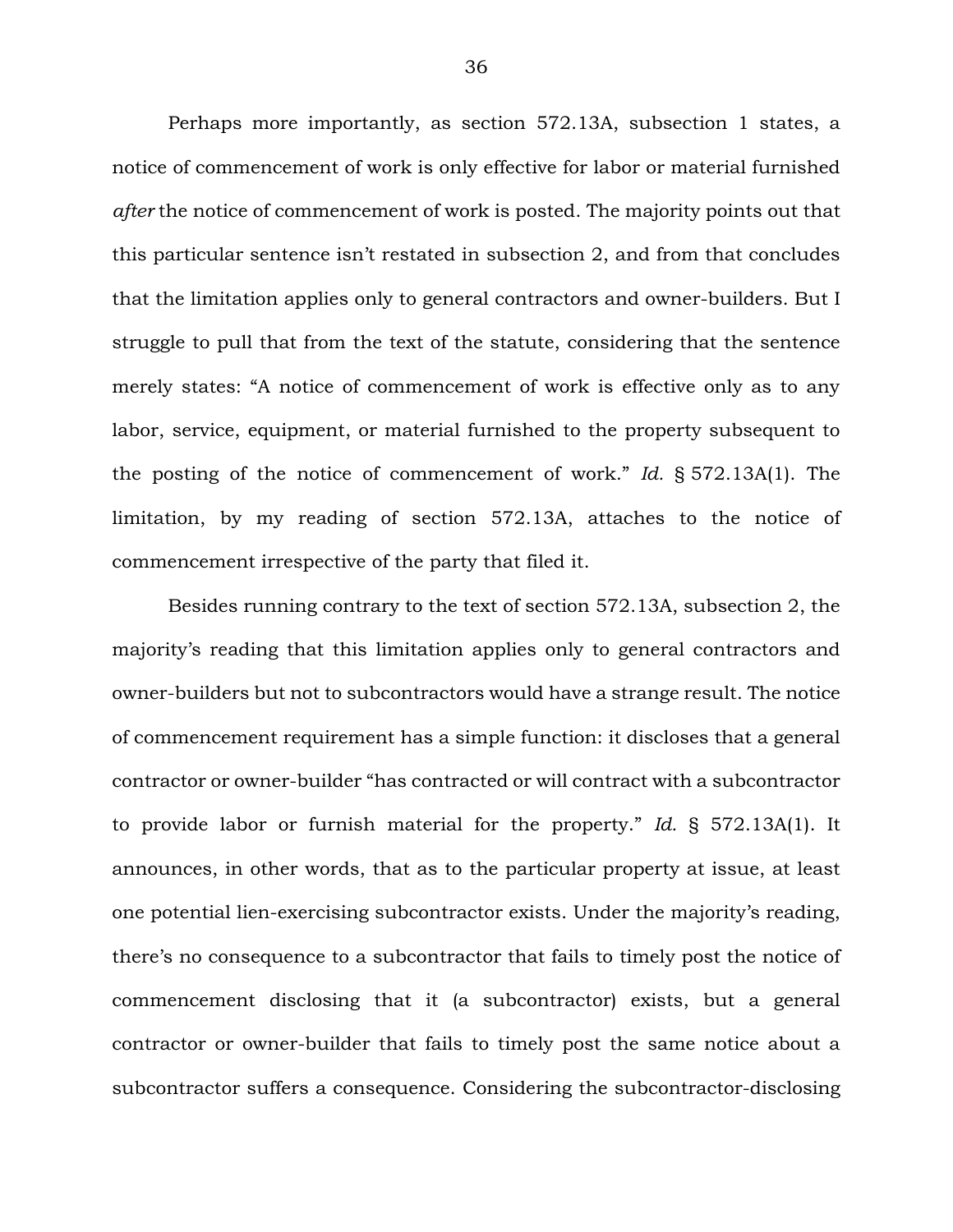Perhaps more importantly, as section 572.13A, subsection 1 states, a notice of commencement of work is only effective for labor or material furnished *after* the notice of commencement of work is posted. The majority points out that this particular sentence isn't restated in subsection 2, and from that concludes that the limitation applies only to general contractors and owner-builders. But I struggle to pull that from the text of the statute, considering that the sentence merely states: "A notice of commencement of work is effective only as to any labor, service, equipment, or material furnished to the property subsequent to the posting of the notice of commencement of work." *Id.* § 572.13A(1). The limitation, by my reading of section 572.13A, attaches to the notice of commencement irrespective of the party that filed it.

Besides running contrary to the text of section 572.13A, subsection 2, the majority's reading that this limitation applies only to general contractors and owner-builders but not to subcontractors would have a strange result. The notice of commencement requirement has a simple function: it discloses that a general contractor or owner-builder "has contracted or will contract with a subcontractor to provide labor or furnish material for the property." *Id.* § 572.13A(1). It announces, in other words, that as to the particular property at issue, at least one potential lien-exercising subcontractor exists. Under the majority's reading, there's no consequence to a subcontractor that fails to timely post the notice of commencement disclosing that it (a subcontractor) exists, but a general contractor or owner-builder that fails to timely post the same notice about a subcontractor suffers a consequence. Considering the subcontractor-disclosing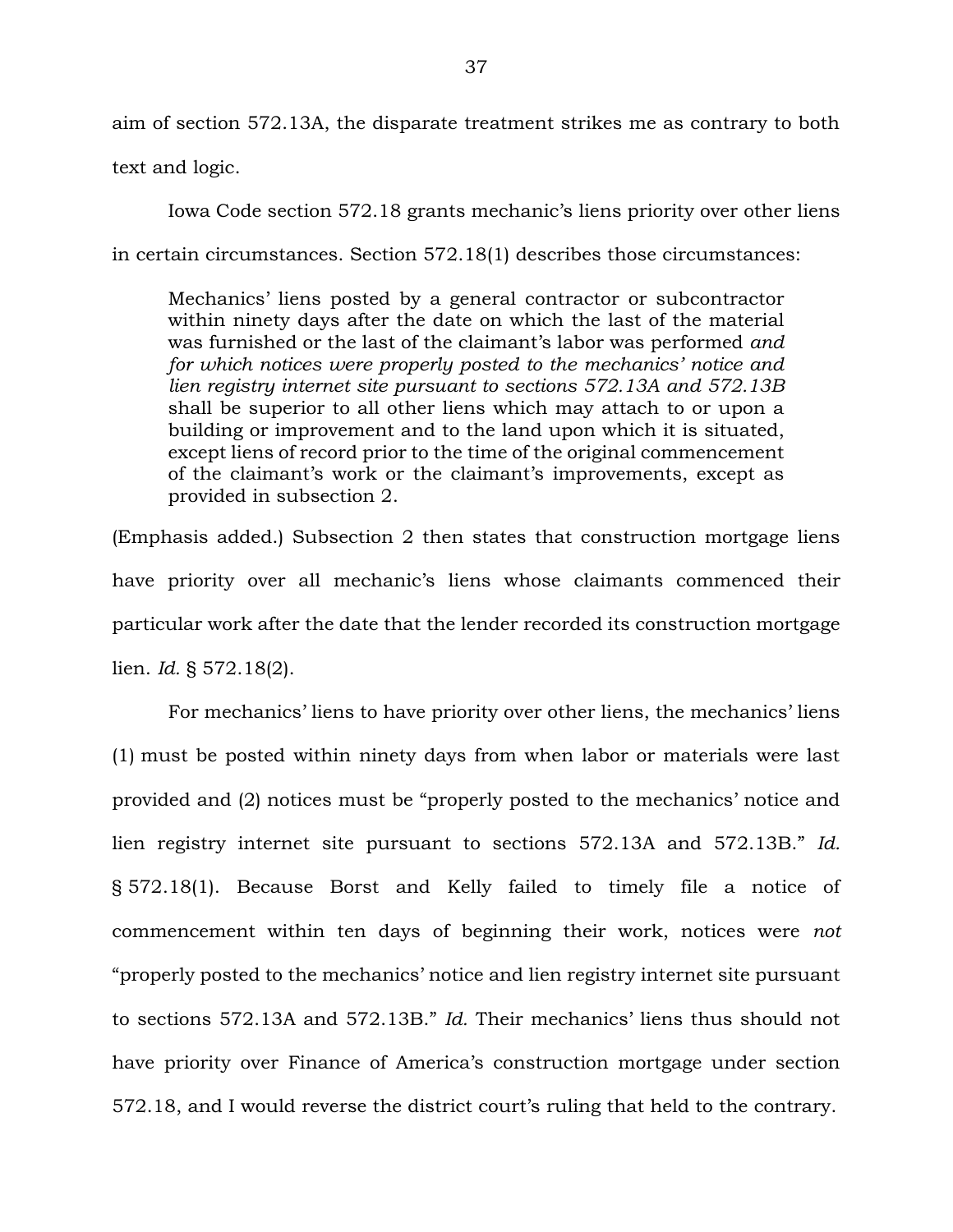aim of section 572.13A, the disparate treatment strikes me as contrary to both

text and logic.

Iowa Code section 572.18 grants mechanic's liens priority over other liens in certain circumstances. Section 572.18(1) describes those circumstances:

Mechanics' liens posted by a general contractor or subcontractor within ninety days after the date on which the last of the material was furnished or the last of the claimant's labor was performed *and for which notices were properly posted to the mechanics' notice and lien registry internet site pursuant to sections 572.13A and 572.13B*  shall be superior to all other liens which may attach to or upon a building or improvement and to the land upon which it is situated, except liens of record prior to the time of the original commencement of the claimant's work or the claimant's improvements, except as provided in subsection 2.

(Emphasis added.) Subsection 2 then states that construction mortgage liens have priority over all mechanic's liens whose claimants commenced their particular work after the date that the lender recorded its construction mortgage lien. *Id.* § 572.18(2).

For mechanics' liens to have priority over other liens, the mechanics' liens (1) must be posted within ninety days from when labor or materials were last provided and (2) notices must be "properly posted to the mechanics' notice and lien registry internet site pursuant to sections 572.13A and 572.13B." *Id.* § 572.18(1). Because Borst and Kelly failed to timely file a notice of commencement within ten days of beginning their work, notices were *not*  "properly posted to the mechanics' notice and lien registry internet site pursuant to sections 572.13A and 572.13B." *Id.* Their mechanics' liens thus should not have priority over Finance of America's construction mortgage under section 572.18, and I would reverse the district court's ruling that held to the contrary.